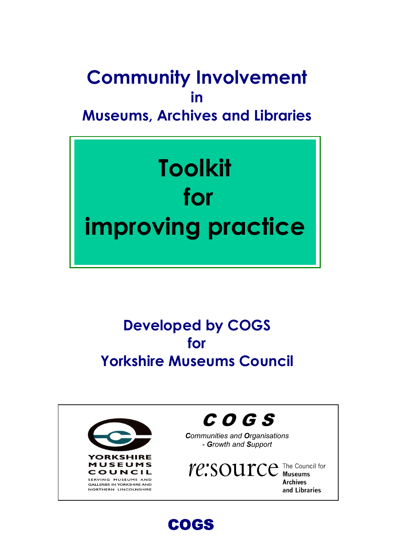# Community Involvement in Museums, Archives and Libraries



# Developed by COGS for Yorkshire Museums Council





Communities and Organisations - Growth and Support

TC: SOUTCE The Council for **Archives** and Libraries

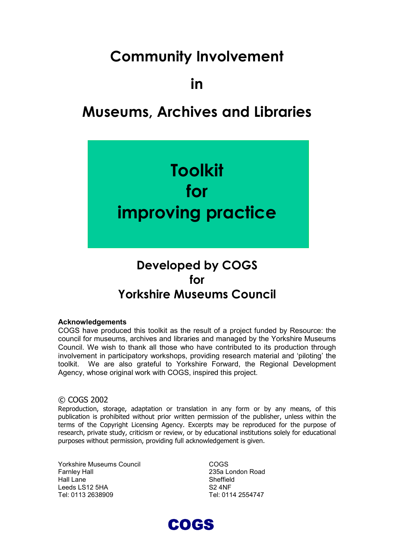## Community Involvement

in

## Museums, Archives and Libraries



## Developed by COGS for Yorkshire Museums Council

#### Acknowledgements

COGS have produced this toolkit as the result of a project funded by Resource: the council for museums, archives and libraries and managed by the Yorkshire Museums Council. We wish to thank all those who have contributed to its production through involvement in participatory workshops, providing research material and 'piloting' the toolkit. We are also grateful to Yorkshire Forward, the Regional Development Agency, whose original work with COGS, inspired this project.

#### © COGS 2002

Reproduction, storage, adaptation or translation in any form or by any means, of this publication is prohibited without prior written permission of the publisher, unless within the terms of the Copyright Licensing Agency. Excerpts may be reproduced for the purpose of research, private study, criticism or review, or by educational institutions solely for educational purposes without permission, providing full acknowledgement is given.

Yorkshire Museums Council Farnley Hall Hall Lane Leeds LS12 5HA Tel: 0113 2638909

COGS 235a London Road Sheffield S2 4NF Tel: 0114 2554747

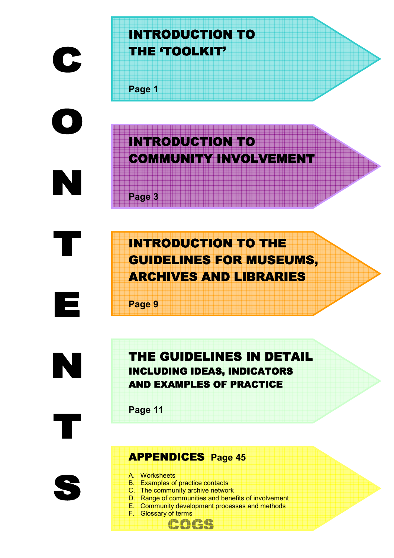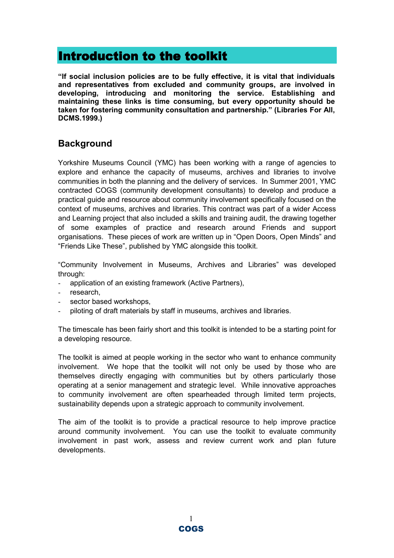## Introduction to the toolkit

"If social inclusion policies are to be fully effective, it is vital that individuals and representatives from excluded and community groups, are involved in developing, introducing and monitoring the service. Establishing and maintaining these links is time consuming, but every opportunity should be taken for fostering community consultation and partnership." (Libraries For All, DCMS.1999.)

## **Background**

Yorkshire Museums Council (YMC) has been working with a range of agencies to explore and enhance the capacity of museums, archives and libraries to involve communities in both the planning and the delivery of services. In Summer 2001, YMC contracted COGS (community development consultants) to develop and produce a practical guide and resource about community involvement specifically focused on the context of museums, archives and libraries. This contract was part of a wider Access and Learning project that also included a skills and training audit, the drawing together of some examples of practice and research around Friends and support organisations. These pieces of work are written up in "Open Doors, Open Minds" and "Friends Like These", published by YMC alongside this toolkit.

"Community Involvement in Museums, Archives and Libraries" was developed through:

- application of an existing framework (Active Partners),
- research,
- sector based workshops.
- piloting of draft materials by staff in museums, archives and libraries.

The timescale has been fairly short and this toolkit is intended to be a starting point for a developing resource.

The toolkit is aimed at people working in the sector who want to enhance community involvement. We hope that the toolkit will not only be used by those who are themselves directly engaging with communities but by others particularly those operating at a senior management and strategic level. While innovative approaches to community involvement are often spearheaded through limited term projects, sustainability depends upon a strategic approach to community involvement.

The aim of the toolkit is to provide a practical resource to help improve practice around community involvement. You can use the toolkit to evaluate community involvement in past work, assess and review current work and plan future developments.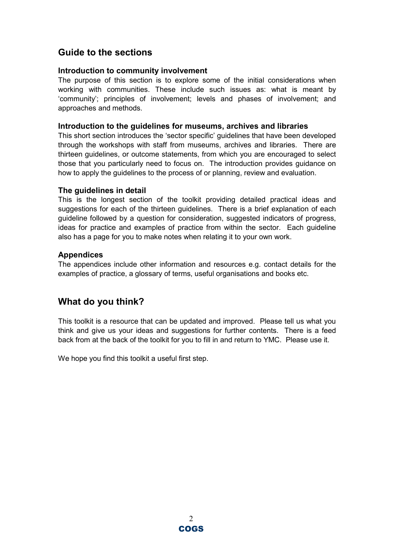## Guide to the sections

#### Introduction to community involvement

The purpose of this section is to explore some of the initial considerations when working with communities. These include such issues as: what is meant by 'community'; principles of involvement; levels and phases of involvement; and approaches and methods.

#### Introduction to the guidelines for museums, archives and libraries

This short section introduces the 'sector specific' guidelines that have been developed through the workshops with staff from museums, archives and libraries. There are thirteen guidelines, or outcome statements, from which you are encouraged to select those that you particularly need to focus on. The introduction provides guidance on how to apply the guidelines to the process of or planning, review and evaluation.

#### The guidelines in detail

This is the longest section of the toolkit providing detailed practical ideas and suggestions for each of the thirteen guidelines. There is a brief explanation of each guideline followed by a question for consideration, suggested indicators of progress, ideas for practice and examples of practice from within the sector. Each guideline also has a page for you to make notes when relating it to your own work.

#### Appendices

The appendices include other information and resources e.g. contact details for the examples of practice, a glossary of terms, useful organisations and books etc.

## What do you think?

This toolkit is a resource that can be updated and improved. Please tell us what you think and give us your ideas and suggestions for further contents. There is a feed back from at the back of the toolkit for you to fill in and return to YMC. Please use it.

We hope you find this toolkit a useful first step.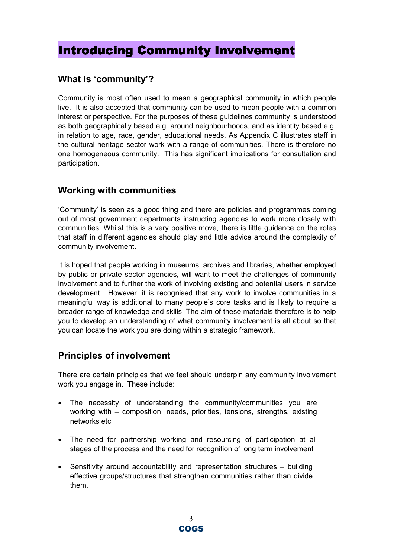## Introducing Community Involvement

## What is 'community'?

Community is most often used to mean a geographical community in which people live. It is also accepted that community can be used to mean people with a common interest or perspective. For the purposes of these guidelines community is understood as both geographically based e.g. around neighbourhoods, and as identity based e.g. in relation to age, race, gender, educational needs. As Appendix C illustrates staff in the cultural heritage sector work with a range of communities. There is therefore no one homogeneous community. This has significant implications for consultation and participation.

## Working with communities

'Community' is seen as a good thing and there are policies and programmes coming out of most government departments instructing agencies to work more closely with communities. Whilst this is a very positive move, there is little guidance on the roles that staff in different agencies should play and little advice around the complexity of community involvement.

It is hoped that people working in museums, archives and libraries, whether employed by public or private sector agencies, will want to meet the challenges of community involvement and to further the work of involving existing and potential users in service development. However, it is recognised that any work to involve communities in a meaningful way is additional to many people's core tasks and is likely to require a broader range of knowledge and skills. The aim of these materials therefore is to help you to develop an understanding of what community involvement is all about so that you can locate the work you are doing within a strategic framework.

## Principles of involvement

There are certain principles that we feel should underpin any community involvement work you engage in. These include:

- The necessity of understanding the community/communities you are working with – composition, needs, priorities, tensions, strengths, existing networks etc
- The need for partnership working and resourcing of participation at all stages of the process and the need for recognition of long term involvement
- Sensitivity around accountability and representation structures building effective groups/structures that strengthen communities rather than divide them.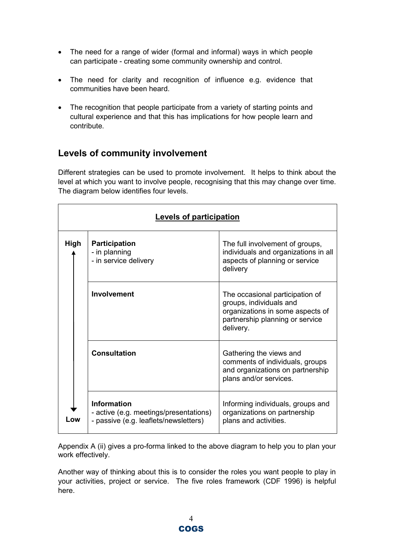- The need for a range of wider (formal and informal) ways in which people can participate - creating some community ownership and control.
- The need for clarity and recognition of influence e.g. evidence that communities have been heard.
- The recognition that people participate from a variety of starting points and cultural experience and that this has implications for how people learn and contribute.

## Levels of community involvement

Different strategies can be used to promote involvement. It helps to think about the level at which you want to involve people, recognising that this may change over time. The diagram below identifies four levels.

| <b>Levels of participation</b> |                                                                                                       |                                                                                                                                                |  |  |  |  |
|--------------------------------|-------------------------------------------------------------------------------------------------------|------------------------------------------------------------------------------------------------------------------------------------------------|--|--|--|--|
| High                           | <b>Participation</b><br>- in planning<br>- in service delivery                                        | The full involvement of groups,<br>individuals and organizations in all<br>aspects of planning or service<br>delivery                          |  |  |  |  |
|                                | Involvement                                                                                           | The occasional participation of<br>groups, individuals and<br>organizations in some aspects of<br>partnership planning or service<br>delivery. |  |  |  |  |
|                                | <b>Consultation</b>                                                                                   | Gathering the views and<br>comments of individuals, groups<br>and organizations on partnership<br>plans and/or services.                       |  |  |  |  |
| Low                            | <b>Information</b><br>- active (e.g. meetings/presentations)<br>- passive (e.g. leaflets/newsletters) | Informing individuals, groups and<br>organizations on partnership<br>plans and activities.                                                     |  |  |  |  |

Appendix A (ii) gives a pro-forma linked to the above diagram to help you to plan your work effectively.

Another way of thinking about this is to consider the roles you want people to play in your activities, project or service. The five roles framework (CDF 1996) is helpful here.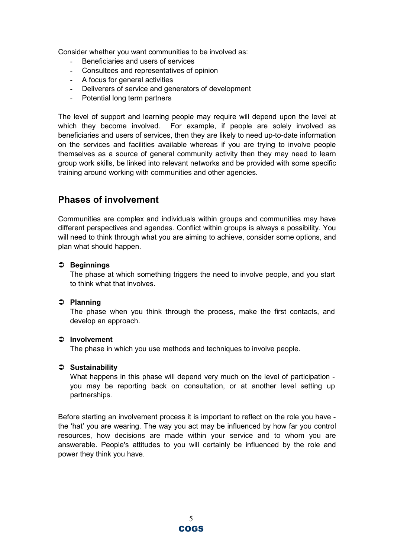Consider whether you want communities to be involved as:

- Beneficiaries and users of services
- Consultees and representatives of opinion
- A focus for general activities
- Deliverers of service and generators of development
- Potential long term partners

The level of support and learning people may require will depend upon the level at which they become involved. For example, if people are solely involved as beneficiaries and users of services, then they are likely to need up-to-date information on the services and facilities available whereas if you are trying to involve people themselves as a source of general community activity then they may need to learn group work skills, be linked into relevant networks and be provided with some specific training around working with communities and other agencies.

## Phases of involvement

Communities are complex and individuals within groups and communities may have different perspectives and agendas. Conflict within groups is always a possibility. You will need to think through what you are aiming to achieve, consider some options, and plan what should happen.

#### Beginnings

The phase at which something triggers the need to involve people, and you start to think what that involves.

#### $\supset$  Planning

The phase when you think through the process, make the first contacts, and develop an approach.

#### **⊅** Involvement

The phase in which you use methods and techniques to involve people.

#### $\supset$  Sustainability

What happens in this phase will depend very much on the level of participation you may be reporting back on consultation, or at another level setting up partnerships.

Before starting an involvement process it is important to reflect on the role you have the 'hat' you are wearing. The way you act may be influenced by how far you control resources, how decisions are made within your service and to whom you are answerable. People's attitudes to you will certainly be influenced by the role and power they think you have.

> 5 COGS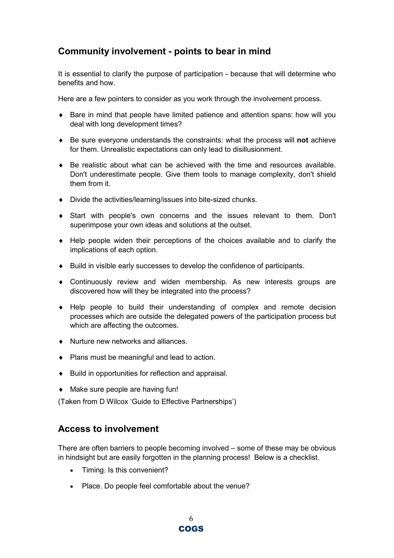## Community involvement - points to bear in mind

It is essential to clarify the purpose of participation - because that will determine who benefits and how.

Here are a few pointers to consider as you work through the involvement process.

- ♦ Bare in mind that people have limited patience and attention spans: how will you deal with long development times?
- ♦ Be sure everyone understands the constraints: what the process will not achieve for them. Unrealistic expectations can only lead to disillusionment.
- $\bullet$  Be realistic about what can be achieved with the time and resources available. Don't underestimate people. Give them tools to manage complexity, don't shield them from it.
- ♦ Divide the activities/learning/issues into bite-sized chunks.
- ♦ Start with people's own concerns and the issues relevant to them. Don't superimpose your own ideas and solutions at the outset.
- ♦ Help people widen their perceptions of the choices available and to clarify the implications of each option.
- ♦ Build in visible early successes to develop the confidence of participants.
- ♦ Continuously review and widen membership. As new interests groups are discovered how will they be integrated into the process?
- ♦ Help people to build their understanding of complex and remote decision processes which are outside the delegated powers of the participation process but which are affecting the outcomes.
- ♦ Nurture new networks and alliances.
- ♦ Plans must be meaningful and lead to action.
- ♦ Build in opportunities for reflection and appraisal.
- ♦ Make sure people are having fun!

(Taken from D Wilcox 'Guide to Effective Partnerships')

### Access to involvement

There are often barriers to people becoming involved – some of these may be obvious in hindsight but are easily forgotten in the planning process! Below is a checklist.

- Timing. Is this convenient?
- Place. Do people feel comfortable about the venue?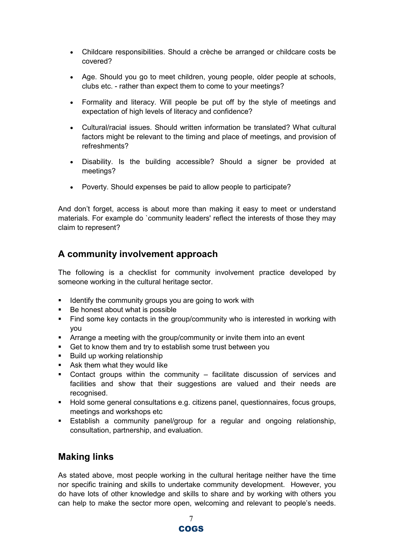- Childcare responsibilities. Should a crèche be arranged or childcare costs be covered?
- Age. Should you go to meet children, young people, older people at schools, clubs etc. - rather than expect them to come to your meetings?
- Formality and literacy. Will people be put off by the style of meetings and expectation of high levels of literacy and confidence?
- Cultural/racial issues. Should written information be translated? What cultural factors might be relevant to the timing and place of meetings, and provision of refreshments?
- Disability. Is the building accessible? Should a signer be provided at meetings?
- Poverty. Should expenses be paid to allow people to participate?

And don't forget, access is about more than making it easy to meet or understand materials. For example do `community leaders' reflect the interests of those they may claim to represent?

## A community involvement approach

The following is a checklist for community involvement practice developed by someone working in the cultural heritage sector.

- Identify the community groups you are going to work with
- **Be honest about what is possible**
- Find some key contacts in the group/community who is interested in working with you
- **-** Arrange a meeting with the group/community or invite them into an event
- Get to know them and try to establish some trust between you
- **Build up working relationship**
- **-** Ask them what they would like
- Contact groups within the community facilitate discussion of services and facilities and show that their suggestions are valued and their needs are recognised.
- Hold some general consultations e.g. citizens panel, questionnaires, focus groups, meetings and workshops etc
- **Establish a community panel/group for a regular and ongoing relationship,** consultation, partnership, and evaluation.

### Making links

As stated above, most people working in the cultural heritage neither have the time nor specific training and skills to undertake community development. However, you do have lots of other knowledge and skills to share and by working with others you can help to make the sector more open, welcoming and relevant to people's needs.

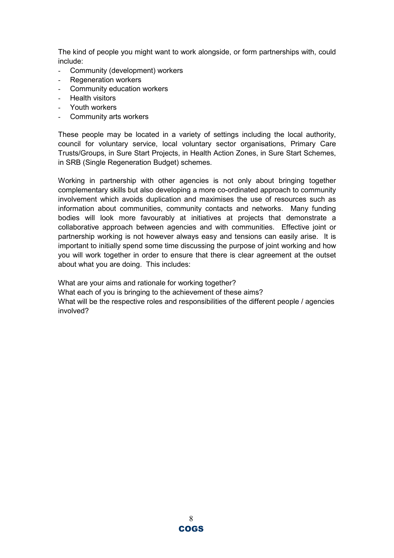The kind of people you might want to work alongside, or form partnerships with, could include:

- Community (development) workers
- Regeneration workers
- Community education workers
- Health visitors
- Youth workers
- Community arts workers

These people may be located in a variety of settings including the local authority, council for voluntary service, local voluntary sector organisations, Primary Care Trusts/Groups, in Sure Start Projects, in Health Action Zones, in Sure Start Schemes, in SRB (Single Regeneration Budget) schemes.

Working in partnership with other agencies is not only about bringing together complementary skills but also developing a more co-ordinated approach to community involvement which avoids duplication and maximises the use of resources such as information about communities, community contacts and networks. Many funding bodies will look more favourably at initiatives at projects that demonstrate a collaborative approach between agencies and with communities. Effective joint or partnership working is not however always easy and tensions can easily arise. It is important to initially spend some time discussing the purpose of joint working and how you will work together in order to ensure that there is clear agreement at the outset about what you are doing. This includes:

What are your aims and rationale for working together? What each of you is bringing to the achievement of these aims? What will be the respective roles and responsibilities of the different people / agencies involved?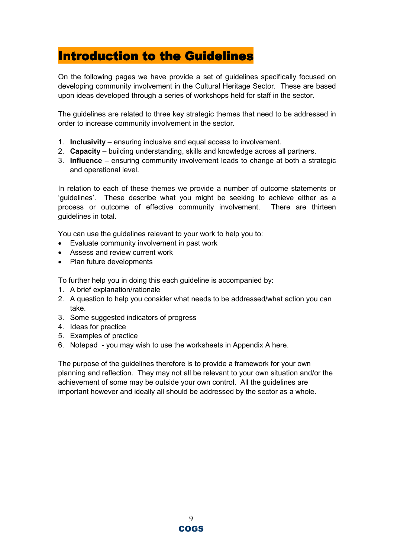## Introduction to the Guidelines

On the following pages we have provide a set of guidelines specifically focused on developing community involvement in the Cultural Heritage Sector. These are based upon ideas developed through a series of workshops held for staff in the sector.

The guidelines are related to three key strategic themes that need to be addressed in order to increase community involvement in the sector.

- 1. Inclusivity ensuring inclusive and equal access to involvement.
- 2. Capacity building understanding, skills and knowledge across all partners.
- 3. Influence ensuring community involvement leads to change at both a strategic and operational level.

In relation to each of these themes we provide a number of outcome statements or 'guidelines'. These describe what you might be seeking to achieve either as a process or outcome of effective community involvement. There are thirteen guidelines in total.

You can use the guidelines relevant to your work to help you to:

- Evaluate community involvement in past work
- Assess and review current work
- Plan future developments

To further help you in doing this each guideline is accompanied by:

- 1. A brief explanation/rationale
- 2. A question to help you consider what needs to be addressed/what action you can take.
- 3. Some suggested indicators of progress
- 4. Ideas for practice
- 5. Examples of practice
- 6. Notepad you may wish to use the worksheets in Appendix A here.

The purpose of the guidelines therefore is to provide a framework for your own planning and reflection. They may not all be relevant to your own situation and/or the achievement of some may be outside your own control. All the guidelines are important however and ideally all should be addressed by the sector as a whole.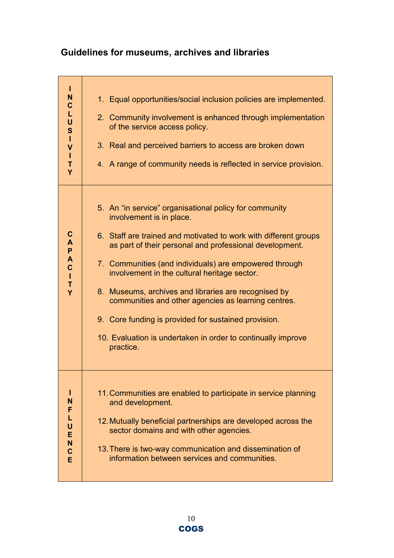## Guidelines for museums, archives and libraries

| T<br>N<br>$\mathbf C$<br>L<br>U<br>S<br>$\mathbf{I}$<br>$\mathsf{V}$<br>T<br>T<br>Y | 1. Equal opportunities/social inclusion policies are implemented.<br>2. Community involvement is enhanced through implementation<br>of the service access policy.<br>3. Real and perceived barriers to access are broken down<br>4. A range of community needs is reflected in service provision.                                                                                                                                                                                                                                                                               |
|-------------------------------------------------------------------------------------|---------------------------------------------------------------------------------------------------------------------------------------------------------------------------------------------------------------------------------------------------------------------------------------------------------------------------------------------------------------------------------------------------------------------------------------------------------------------------------------------------------------------------------------------------------------------------------|
| $\mathbf C$<br>A<br>P<br>A<br>$\mathbf C$<br>$\mathbf{I}$<br>T<br>Y                 | 5. An "in service" organisational policy for community<br>involvement is in place.<br>6. Staff are trained and motivated to work with different groups<br>as part of their personal and professional development.<br>7. Communities (and individuals) are empowered through<br>involvement in the cultural heritage sector.<br>8. Museums, archives and libraries are recognised by<br>communities and other agencies as learning centres.<br>9. Core funding is provided for sustained provision.<br>10. Evaluation is undertaken in order to continually improve<br>practice. |
| N<br>F<br>Г<br>U<br>E<br>N<br>$\mathbf c$<br>Ē                                      | 11. Communities are enabled to participate in service planning<br>and development.<br>12. Mutually beneficial partnerships are developed across the<br>sector domains and with other agencies.<br>13. There is two-way communication and dissemination of<br>information between services and communities.                                                                                                                                                                                                                                                                      |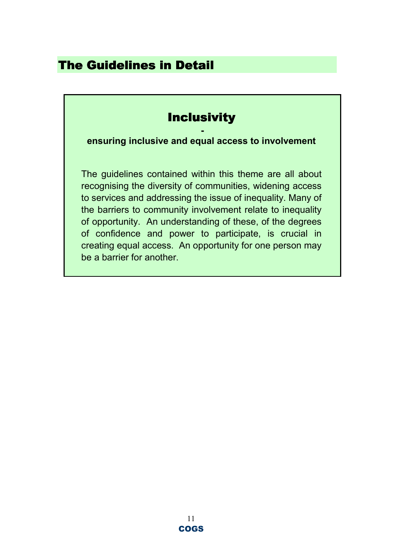## The Guidelines in Detail

## **Inclusivity**

 ensuring inclusive and equal access to involvement

The guidelines contained within this theme are all about recognising the diversity of communities, widening access to services and addressing the issue of inequality. Many of the barriers to community involvement relate to inequality of opportunity. An understanding of these, of the degrees of confidence and power to participate, is crucial in creating equal access. An opportunity for one person may be a barrier for another.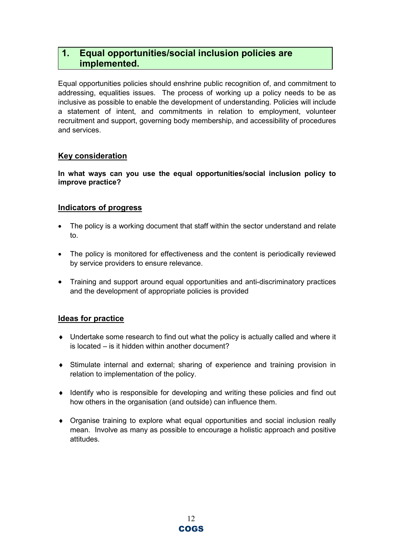## 1. Equal opportunities/social inclusion policies are implemented.

Equal opportunities policies should enshrine public recognition of, and commitment to addressing, equalities issues. The process of working up a policy needs to be as inclusive as possible to enable the development of understanding. Policies will include a statement of intent, and commitments in relation to employment, volunteer recruitment and support, governing body membership, and accessibility of procedures and services.

#### Key consideration

In what ways can you use the equal opportunities/social inclusion policy to improve practice?

#### Indicators of progress

- The policy is a working document that staff within the sector understand and relate to.
- The policy is monitored for effectiveness and the content is periodically reviewed by service providers to ensure relevance.
- Training and support around equal opportunities and anti-discriminatory practices and the development of appropriate policies is provided

- ♦ Undertake some research to find out what the policy is actually called and where it is located – is it hidden within another document?
- ♦ Stimulate internal and external; sharing of experience and training provision in relation to implementation of the policy.
- ♦ Identify who is responsible for developing and writing these policies and find out how others in the organisation (and outside) can influence them.
- ♦ Organise training to explore what equal opportunities and social inclusion really mean. Involve as many as possible to encourage a holistic approach and positive attitudes.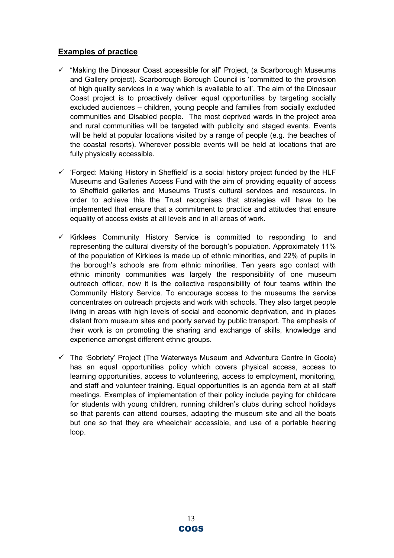- $\checkmark$  "Making the Dinosaur Coast accessible for all" Project, (a Scarborough Museums and Gallery project). Scarborough Borough Council is 'committed to the provision of high quality services in a way which is available to all'. The aim of the Dinosaur Coast project is to proactively deliver equal opportunities by targeting socially excluded audiences – children, young people and families from socially excluded communities and Disabled people. The most deprived wards in the project area and rural communities will be targeted with publicity and staged events. Events will be held at popular locations visited by a range of people (e.g. the beaches of the coastal resorts). Wherever possible events will be held at locations that are fully physically accessible.
- $\checkmark$  'Forged: Making History in Sheffield' is a social history project funded by the HLF Museums and Galleries Access Fund with the aim of providing equality of access to Sheffield galleries and Museums Trust's cultural services and resources. In order to achieve this the Trust recognises that strategies will have to be implemented that ensure that a commitment to practice and attitudes that ensure equality of access exists at all levels and in all areas of work.
- $\checkmark$  Kirklees Community History Service is committed to responding to and representing the cultural diversity of the borough's population. Approximately 11% of the population of Kirklees is made up of ethnic minorities, and 22% of pupils in the borough's schools are from ethnic minorities. Ten years ago contact with ethnic minority communities was largely the responsibility of one museum outreach officer, now it is the collective responsibility of four teams within the Community History Service. To encourage access to the museums the service concentrates on outreach projects and work with schools. They also target people living in areas with high levels of social and economic deprivation, and in places distant from museum sites and poorly served by public transport. The emphasis of their work is on promoting the sharing and exchange of skills, knowledge and experience amongst different ethnic groups.
- $\checkmark$  The 'Sobriety' Project (The Waterways Museum and Adventure Centre in Goole) has an equal opportunities policy which covers physical access, access to learning opportunities, access to volunteering, access to employment, monitoring, and staff and volunteer training. Equal opportunities is an agenda item at all staff meetings. Examples of implementation of their policy include paying for childcare for students with young children, running children's clubs during school holidays so that parents can attend courses, adapting the museum site and all the boats but one so that they are wheelchair accessible, and use of a portable hearing loop.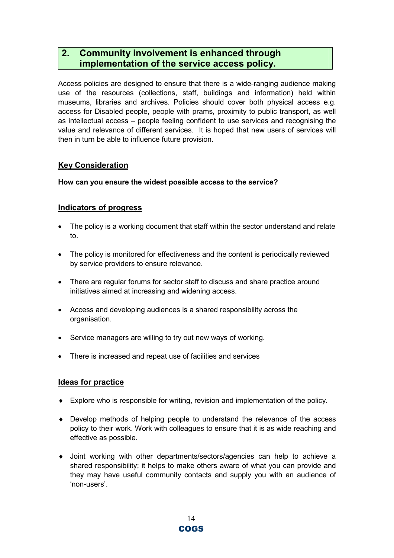## 2. Community involvement is enhanced through implementation of the service access policy.

Access policies are designed to ensure that there is a wide-ranging audience making use of the resources (collections, staff, buildings and information) held within museums, libraries and archives. Policies should cover both physical access e.g. access for Disabled people, people with prams, proximity to public transport, as well as intellectual access – people feeling confident to use services and recognising the value and relevance of different services. It is hoped that new users of services will then in turn be able to influence future provision.

### Key Consideration

#### How can you ensure the widest possible access to the service?

#### Indicators of progress

- The policy is a working document that staff within the sector understand and relate to.
- The policy is monitored for effectiveness and the content is periodically reviewed by service providers to ensure relevance.
- There are regular forums for sector staff to discuss and share practice around initiatives aimed at increasing and widening access.
- Access and developing audiences is a shared responsibility across the organisation.
- Service managers are willing to try out new ways of working.
- There is increased and repeat use of facilities and services

- ♦ Explore who is responsible for writing, revision and implementation of the policy.
- ♦ Develop methods of helping people to understand the relevance of the access policy to their work. Work with colleagues to ensure that it is as wide reaching and effective as possible.
- ♦ Joint working with other departments/sectors/agencies can help to achieve a shared responsibility; it helps to make others aware of what you can provide and they may have useful community contacts and supply you with an audience of 'non-users'.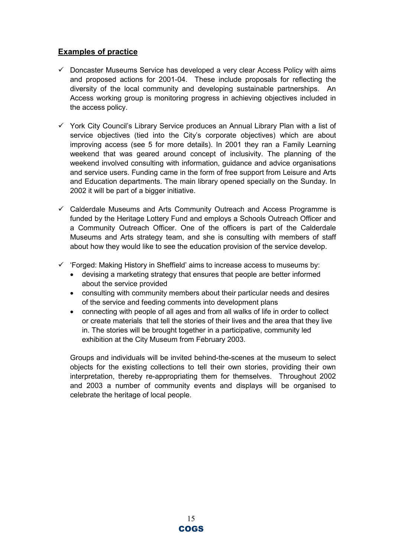- $\checkmark$  Doncaster Museums Service has developed a very clear Access Policy with aims and proposed actions for 2001-04. These include proposals for reflecting the diversity of the local community and developing sustainable partnerships. An Access working group is monitoring progress in achieving objectives included in the access policy.
- $\checkmark$  York City Council's Library Service produces an Annual Library Plan with a list of service objectives (tied into the City's corporate objectives) which are about improving access (see 5 for more details). In 2001 they ran a Family Learning weekend that was geared around concept of inclusivity. The planning of the weekend involved consulting with information, guidance and advice organisations and service users. Funding came in the form of free support from Leisure and Arts and Education departments. The main library opened specially on the Sunday. In 2002 it will be part of a bigger initiative.
- $\checkmark$  Calderdale Museums and Arts Community Outreach and Access Programme is funded by the Heritage Lottery Fund and employs a Schools Outreach Officer and a Community Outreach Officer. One of the officers is part of the Calderdale Museums and Arts strategy team, and she is consulting with members of staff about how they would like to see the education provision of the service develop.
- $\checkmark$  'Forged: Making History in Sheffield' aims to increase access to museums by:
	- devising a marketing strategy that ensures that people are better informed about the service provided
	- consulting with community members about their particular needs and desires of the service and feeding comments into development plans
	- connecting with people of all ages and from all walks of life in order to collect or create materials that tell the stories of their lives and the area that they live in. The stories will be brought together in a participative, community led exhibition at the City Museum from February 2003.

Groups and individuals will be invited behind-the-scenes at the museum to select objects for the existing collections to tell their own stories, providing their own interpretation, thereby re-appropriating them for themselves. Throughout 2002 and 2003 a number of community events and displays will be organised to celebrate the heritage of local people.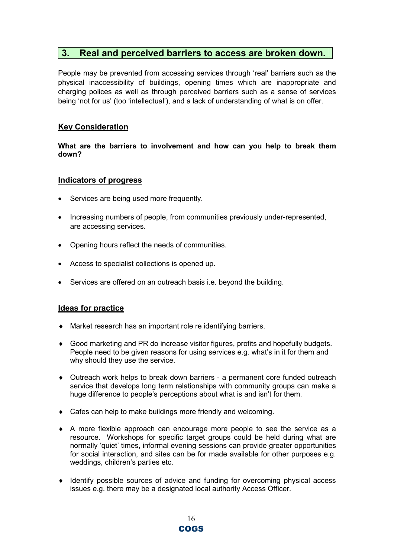### 3. Real and perceived barriers to access are broken down.

People may be prevented from accessing services through 'real' barriers such as the physical inaccessibility of buildings, opening times which are inappropriate and charging polices as well as through perceived barriers such as a sense of services being 'not for us' (too 'intellectual'), and a lack of understanding of what is on offer.

#### Key Consideration

What are the barriers to involvement and how can you help to break them down?

#### Indicators of progress

- Services are being used more frequently.
- Increasing numbers of people, from communities previously under-represented, are accessing services.
- Opening hours reflect the needs of communities.
- Access to specialist collections is opened up.
- Services are offered on an outreach basis i.e. beyond the building.

- ♦ Market research has an important role re identifying barriers.
- ♦ Good marketing and PR do increase visitor figures, profits and hopefully budgets. People need to be given reasons for using services e.g. what's in it for them and why should they use the service.
- ♦ Outreach work helps to break down barriers a permanent core funded outreach service that develops long term relationships with community groups can make a huge difference to people's perceptions about what is and isn't for them.
- ♦ Cafes can help to make buildings more friendly and welcoming.
- ♦ A more flexible approach can encourage more people to see the service as a resource. Workshops for specific target groups could be held during what are normally 'quiet' times, informal evening sessions can provide greater opportunities for social interaction, and sites can be for made available for other purposes e.g. weddings, children's parties etc.
- ♦ Identify possible sources of advice and funding for overcoming physical access issues e.g. there may be a designated local authority Access Officer.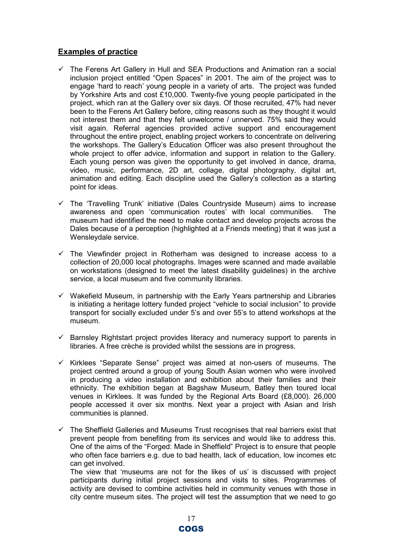- $\checkmark$  The Ferens Art Gallery in Hull and SEA Productions and Animation ran a social inclusion project entitled "Open Spaces" in 2001. The aim of the project was to engage 'hard to reach' young people in a variety of arts. The project was funded by Yorkshire Arts and cost £10,000. Twenty-five young people participated in the project, which ran at the Gallery over six days. Of those recruited, 47% had never been to the Ferens Art Gallery before, citing reasons such as they thought it would not interest them and that they felt unwelcome / unnerved. 75% said they would visit again. Referral agencies provided active support and encouragement throughout the entire project, enabling project workers to concentrate on delivering the workshops. The Gallery's Education Officer was also present throughout the whole project to offer advice, information and support in relation to the Gallery. Each young person was given the opportunity to get involved in dance, drama, video, music, performance, 2D art, collage, digital photography, digital art, animation and editing. Each discipline used the Gallery's collection as a starting point for ideas.
- $\checkmark$  The 'Travelling Trunk' initiative (Dales Countryside Museum) aims to increase awareness and open 'communication routes' with local communities. The museum had identified the need to make contact and develop projects across the Dales because of a perception (highlighted at a Friends meeting) that it was just a Wensleydale service.
- $\checkmark$  The Viewfinder project in Rotherham was designed to increase access to a collection of 20,000 local photographs. Images were scanned and made available on workstations (designed to meet the latest disability guidelines) in the archive service, a local museum and five community libraries.
- $\checkmark$  Wakefield Museum, in partnership with the Early Years partnership and Libraries is initiating a heritage lottery funded project "vehicle to social inclusion" to provide transport for socially excluded under 5's and over 55's to attend workshops at the museum.
- $\checkmark$  Barnsley Rightstart project provides literacy and numeracy support to parents in libraries. A free crèche is provided whilst the sessions are in progress.
- $\checkmark$  Kirklees "Separate Sense" project was aimed at non-users of museums. The project centred around a group of young South Asian women who were involved in producing a video installation and exhibition about their families and their ethnicity. The exhibition began at Bagshaw Museum, Batley then toured local venues in Kirklees. It was funded by the Regional Arts Board (£8,000). 26,000 people accessed it over six months. Next year a project with Asian and Irish communities is planned.
- $\checkmark$  The Sheffield Galleries and Museums Trust recognises that real barriers exist that prevent people from benefiting from its services and would like to address this. One of the aims of the "Forged: Made in Sheffield" Project is to ensure that people who often face barriers e.g. due to bad health, lack of education, low incomes etc can get involved.

The view that 'museums are not for the likes of us' is discussed with project participants during initial project sessions and visits to sites. Programmes of activity are devised to combine activities held in community venues with those in city centre museum sites. The project will test the assumption that we need to go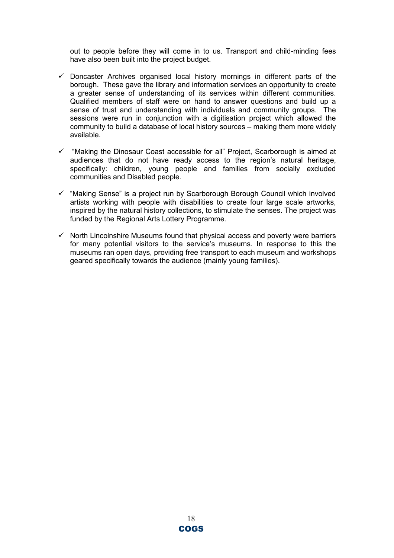out to people before they will come in to us. Transport and child-minding fees have also been built into the project budget.

- $\checkmark$  Doncaster Archives organised local history mornings in different parts of the borough. These gave the library and information services an opportunity to create a greater sense of understanding of its services within different communities. Qualified members of staff were on hand to answer questions and build up a sense of trust and understanding with individuals and community groups. The sessions were run in conjunction with a digitisation project which allowed the community to build a database of local history sources – making them more widely available.
- $\checkmark$  "Making the Dinosaur Coast accessible for all" Project, Scarborough is aimed at audiences that do not have ready access to the region's natural heritage, specifically: children, young people and families from socially excluded communities and Disabled people.
- $\checkmark$  "Making Sense" is a project run by Scarborough Borough Council which involved artists working with people with disabilities to create four large scale artworks, inspired by the natural history collections, to stimulate the senses. The project was funded by the Regional Arts Lottery Programme.
- $\checkmark$  North Lincolnshire Museums found that physical access and poverty were barriers for many potential visitors to the service's museums. In response to this the museums ran open days, providing free transport to each museum and workshops geared specifically towards the audience (mainly young families).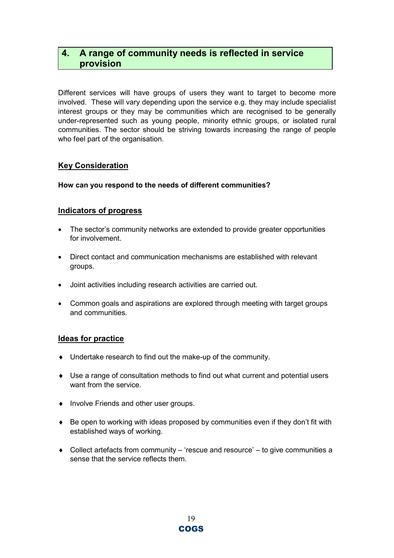## 4. A range of community needs is reflected in service provision

Different services will have groups of users they want to target to become more involved. These will vary depending upon the service e.g. they may include specialist interest groups or they may be communities which are recognised to be generally under-represented such as young people, minority ethnic groups, or isolated rural communities. The sector should be striving towards increasing the range of people who feel part of the organisation.

#### Key Consideration

#### How can you respond to the needs of different communities?

#### Indicators of progress

- The sector's community networks are extended to provide greater opportunities for involvement.
- Direct contact and communication mechanisms are established with relevant groups.
- Joint activities including research activities are carried out.
- Common goals and aspirations are explored through meeting with target groups and communities.

- ♦ Undertake research to find out the make-up of the community.
- ♦ Use a range of consultation methods to find out what current and potential users want from the service.
- ♦ Involve Friends and other user groups.
- ♦ Be open to working with ideas proposed by communities even if they don't fit with established ways of working.
- ♦ Collect artefacts from community 'rescue and resource' to give communities a sense that the service reflects them.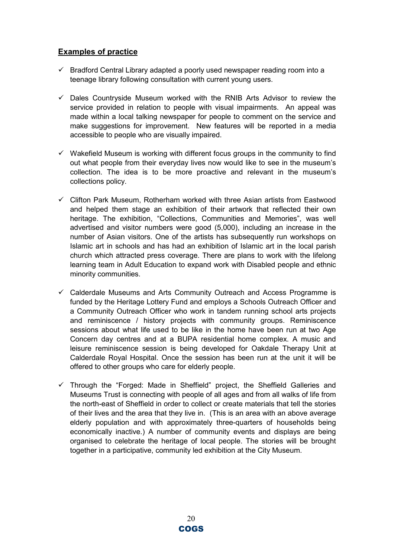- $\checkmark$  Bradford Central Library adapted a poorly used newspaper reading room into a teenage library following consultation with current young users.
- $\checkmark$  Dales Countryside Museum worked with the RNIB Arts Advisor to review the service provided in relation to people with visual impairments. An appeal was made within a local talking newspaper for people to comment on the service and make suggestions for improvement. New features will be reported in a media accessible to people who are visually impaired.
- $\checkmark$  Wakefield Museum is working with different focus groups in the community to find out what people from their everyday lives now would like to see in the museum's collection. The idea is to be more proactive and relevant in the museum's collections policy.
- $\checkmark$  Clifton Park Museum, Rotherham worked with three Asian artists from Eastwood and helped them stage an exhibition of their artwork that reflected their own heritage. The exhibition, "Collections, Communities and Memories", was well advertised and visitor numbers were good (5,000), including an increase in the number of Asian visitors. One of the artists has subsequently run workshops on Islamic art in schools and has had an exhibition of Islamic art in the local parish church which attracted press coverage. There are plans to work with the lifelong learning team in Adult Education to expand work with Disabled people and ethnic minority communities.
- $\checkmark$  Calderdale Museums and Arts Community Outreach and Access Programme is funded by the Heritage Lottery Fund and employs a Schools Outreach Officer and a Community Outreach Officer who work in tandem running school arts projects and reminiscence / history projects with community groups. Reminiscence sessions about what life used to be like in the home have been run at two Age Concern day centres and at a BUPA residential home complex. A music and leisure reminiscence session is being developed for Oakdale Therapy Unit at Calderdale Royal Hospital. Once the session has been run at the unit it will be offered to other groups who care for elderly people.
- $\checkmark$  Through the "Forged: Made in Sheffield" project, the Sheffield Galleries and Museums Trust is connecting with people of all ages and from all walks of life from the north-east of Sheffield in order to collect or create materials that tell the stories of their lives and the area that they live in. (This is an area with an above average elderly population and with approximately three-quarters of households being economically inactive.) A number of community events and displays are being organised to celebrate the heritage of local people. The stories will be brought together in a participative, community led exhibition at the City Museum.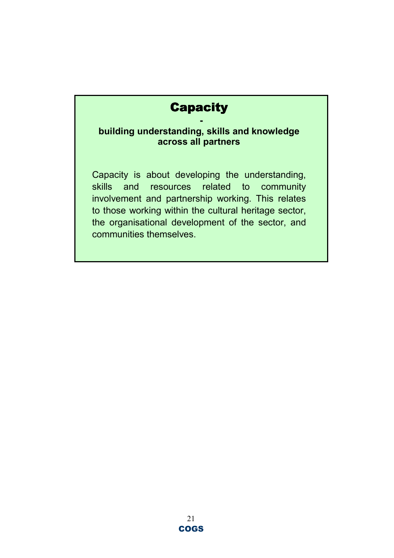## **Capacity**

### building understanding, skills and knowledge across all partners

Capacity is about developing the understanding, skills and resources related to community involvement and partnership working. This relates to those working within the cultural heritage sector, the organisational development of the sector, and communities themselves.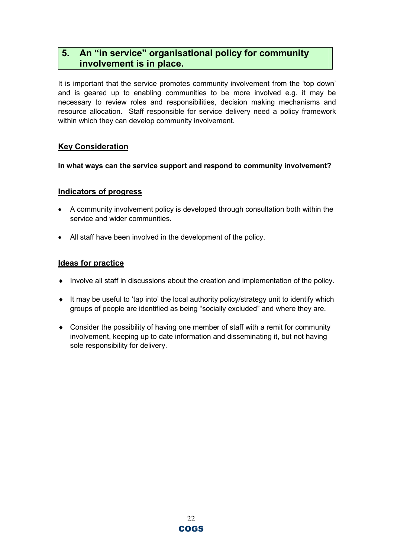## 5. An "in service" organisational policy for community involvement is in place.

It is important that the service promotes community involvement from the 'top down' and is geared up to enabling communities to be more involved e.g. it may be necessary to review roles and responsibilities, decision making mechanisms and resource allocation. Staff responsible for service delivery need a policy framework within which they can develop community involvement.

### Key Consideration

#### In what ways can the service support and respond to community involvement?

#### Indicators of progress

- A community involvement policy is developed through consultation both within the service and wider communities.
- All staff have been involved in the development of the policy.

- ♦ Involve all staff in discussions about the creation and implementation of the policy.
- ♦ It may be useful to 'tap into' the local authority policy/strategy unit to identify which groups of people are identified as being "socially excluded" and where they are.
- ♦ Consider the possibility of having one member of staff with a remit for community involvement, keeping up to date information and disseminating it, but not having sole responsibility for delivery.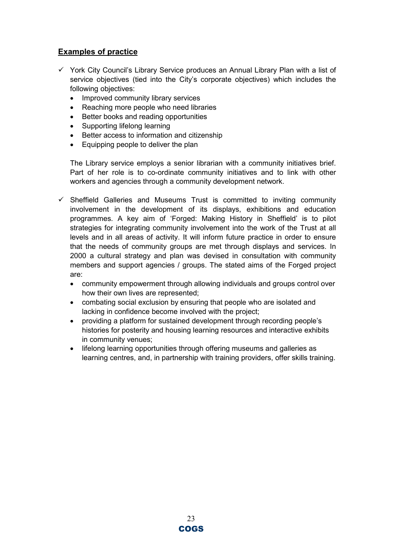- $\checkmark$  York City Council's Library Service produces an Annual Library Plan with a list of service objectives (tied into the City's corporate objectives) which includes the following objectives:
	- Improved community library services
	- Reaching more people who need libraries
	- Better books and reading opportunities
	- Supporting lifelong learning
	- Better access to information and citizenship
	- Equipping people to deliver the plan

The Library service employs a senior librarian with a community initiatives brief. Part of her role is to co-ordinate community initiatives and to link with other workers and agencies through a community development network.

- $\checkmark$  Sheffield Galleries and Museums Trust is committed to inviting community involvement in the development of its displays, exhibitions and education programmes. A key aim of 'Forged: Making History in Sheffield' is to pilot strategies for integrating community involvement into the work of the Trust at all levels and in all areas of activity. It will inform future practice in order to ensure that the needs of community groups are met through displays and services. In 2000 a cultural strategy and plan was devised in consultation with community members and support agencies / groups. The stated aims of the Forged project are:
	- community empowerment through allowing individuals and groups control over how their own lives are represented;
	- combating social exclusion by ensuring that people who are isolated and lacking in confidence become involved with the project;
	- providing a platform for sustained development through recording people's histories for posterity and housing learning resources and interactive exhibits in community venues;
	- lifelong learning opportunities through offering museums and galleries as learning centres, and, in partnership with training providers, offer skills training.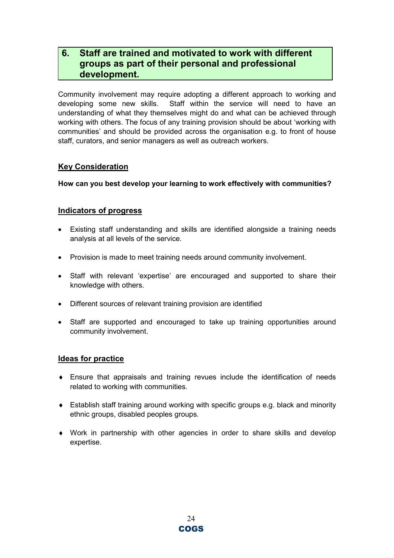## 6. Staff are trained and motivated to work with different groups as part of their personal and professional development.

Community involvement may require adopting a different approach to working and developing some new skills. Staff within the service will need to have an understanding of what they themselves might do and what can be achieved through working with others. The focus of any training provision should be about 'working with communities' and should be provided across the organisation e.g. to front of house staff, curators, and senior managers as well as outreach workers.

#### Key Consideration

How can you best develop your learning to work effectively with communities?

#### Indicators of progress

- Existing staff understanding and skills are identified alongside a training needs analysis at all levels of the service.
- Provision is made to meet training needs around community involvement.
- Staff with relevant 'expertise' are encouraged and supported to share their knowledge with others.
- Different sources of relevant training provision are identified
- Staff are supported and encouraged to take up training opportunities around community involvement.

- $\bullet$  Ensure that appraisals and training revues include the identification of needs related to working with communities.
- ♦ Establish staff training around working with specific groups e.g. black and minority ethnic groups, disabled peoples groups.
- ♦ Work in partnership with other agencies in order to share skills and develop expertise.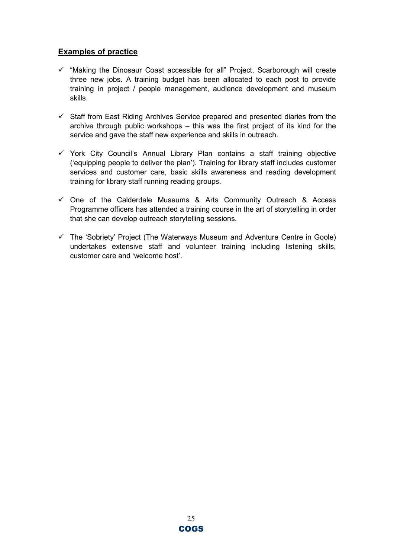- $\checkmark$  "Making the Dinosaur Coast accessible for all" Project, Scarborough will create three new jobs. A training budget has been allocated to each post to provide training in project / people management, audience development and museum skills.
- $\checkmark$  Staff from East Riding Archives Service prepared and presented diaries from the archive through public workshops – this was the first project of its kind for the service and gave the staff new experience and skills in outreach.
- $\checkmark$  York City Council's Annual Library Plan contains a staff training objective ('equipping people to deliver the plan'). Training for library staff includes customer services and customer care, basic skills awareness and reading development training for library staff running reading groups.
- $\checkmark$  One of the Calderdale Museums & Arts Community Outreach & Access Programme officers has attended a training course in the art of storytelling in order that she can develop outreach storytelling sessions.
- $\checkmark$  The 'Sobriety' Project (The Waterways Museum and Adventure Centre in Goole) undertakes extensive staff and volunteer training including listening skills, customer care and 'welcome host'.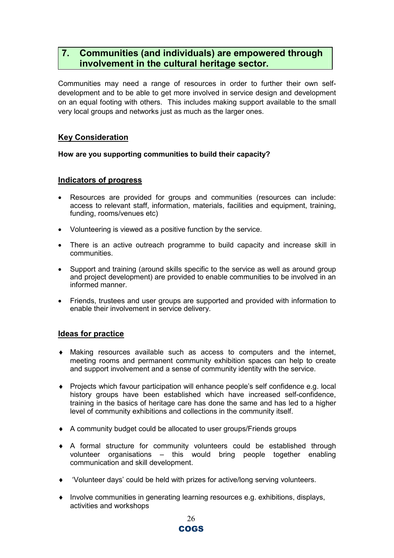## 7. Communities (and individuals) are empowered through involvement in the cultural heritage sector.

Communities may need a range of resources in order to further their own selfdevelopment and to be able to get more involved in service design and development on an equal footing with others. This includes making support available to the small very local groups and networks just as much as the larger ones.

#### Key Consideration

#### How are you supporting communities to build their capacity?

#### Indicators of progress

- Resources are provided for groups and communities (resources can include: access to relevant staff, information, materials, facilities and equipment, training, funding, rooms/venues etc)
- Volunteering is viewed as a positive function by the service.
- There is an active outreach programme to build capacity and increase skill in communities.
- Support and training (around skills specific to the service as well as around group and project development) are provided to enable communities to be involved in an informed manner.
- Friends, trustees and user groups are supported and provided with information to enable their involvement in service delivery.

- ♦ Making resources available such as access to computers and the internet, meeting rooms and permanent community exhibition spaces can help to create and support involvement and a sense of community identity with the service.
- ♦ Projects which favour participation will enhance people's self confidence e.g. local history groups have been established which have increased self-confidence, training in the basics of heritage care has done the same and has led to a higher level of community exhibitions and collections in the community itself.
- ♦ A community budget could be allocated to user groups/Friends groups
- ♦ A formal structure for community volunteers could be established through volunteer organisations – this would bring people together enabling communication and skill development.
- ♦ 'Volunteer days' could be held with prizes for active/long serving volunteers.
- ♦ Involve communities in generating learning resources e.g. exhibitions, displays, activities and workshops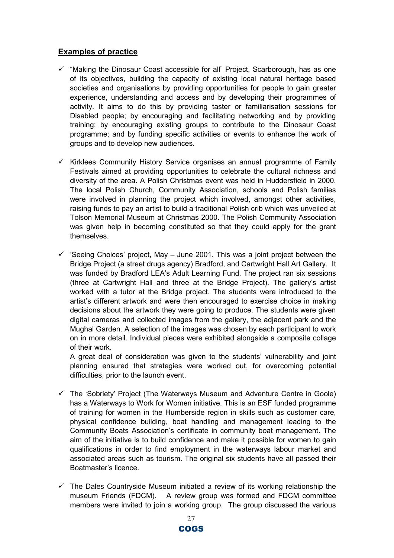- $\checkmark$  "Making the Dinosaur Coast accessible for all" Project, Scarborough, has as one of its objectives, building the capacity of existing local natural heritage based societies and organisations by providing opportunities for people to gain greater experience, understanding and access and by developing their programmes of activity. It aims to do this by providing taster or familiarisation sessions for Disabled people; by encouraging and facilitating networking and by providing training; by encouraging existing groups to contribute to the Dinosaur Coast programme; and by funding specific activities or events to enhance the work of groups and to develop new audiences.
- $\checkmark$  Kirklees Community History Service organises an annual programme of Family Festivals aimed at providing opportunities to celebrate the cultural richness and diversity of the area. A Polish Christmas event was held in Huddersfield in 2000. The local Polish Church, Community Association, schools and Polish families were involved in planning the project which involved, amongst other activities, raising funds to pay an artist to build a traditional Polish crib which was unveiled at Tolson Memorial Museum at Christmas 2000. The Polish Community Association was given help in becoming constituted so that they could apply for the grant themselves.
- $\checkmark$  'Seeing Choices' project, May June 2001. This was a joint project between the Bridge Project (a street drugs agency) Bradford, and Cartwright Hall Art Gallery. It was funded by Bradford LEA's Adult Learning Fund. The project ran six sessions (three at Cartwright Hall and three at the Bridge Project). The gallery's artist worked with a tutor at the Bridge project. The students were introduced to the artist's different artwork and were then encouraged to exercise choice in making decisions about the artwork they were going to produce. The students were given digital cameras and collected images from the gallery, the adjacent park and the Mughal Garden. A selection of the images was chosen by each participant to work on in more detail. Individual pieces were exhibited alongside a composite collage of their work.

A great deal of consideration was given to the students' vulnerability and joint planning ensured that strategies were worked out, for overcoming potential difficulties, prior to the launch event.

- $\checkmark$  The 'Sobriety' Project (The Waterways Museum and Adventure Centre in Goole) has a Waterways to Work for Women initiative. This is an ESF funded programme of training for women in the Humberside region in skills such as customer care, physical confidence building, boat handling and management leading to the Community Boats Association's certificate in community boat management. The aim of the initiative is to build confidence and make it possible for women to gain qualifications in order to find employment in the waterways labour market and associated areas such as tourism. The original six students have all passed their Boatmaster's licence.
- $\checkmark$  The Dales Countryside Museum initiated a review of its working relationship the museum Friends (FDCM). A review group was formed and FDCM committee members were invited to join a working group. The group discussed the various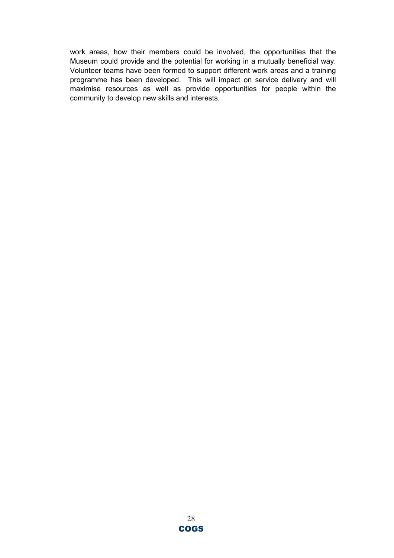work areas, how their members could be involved, the opportunities that the Museum could provide and the potential for working in a mutually beneficial way. Volunteer teams have been formed to support different work areas and a training programme has been developed. This will impact on service delivery and will maximise resources as well as provide opportunities for people within the community to develop new skills and interests.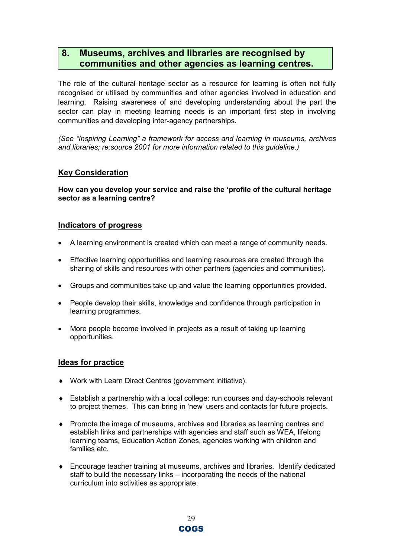## 8. Museums, archives and libraries are recognised by communities and other agencies as learning centres.

The role of the cultural heritage sector as a resource for learning is often not fully recognised or utilised by communities and other agencies involved in education and learning. Raising awareness of and developing understanding about the part the sector can play in meeting learning needs is an important first step in involving communities and developing inter-agency partnerships.

(See "Inspiring Learning" a framework for access and learning in museums, archives and libraries; re:source 2001 for more information related to this guideline.)

### Key Consideration

How can you develop your service and raise the 'profile of the cultural heritage sector as a learning centre?

#### Indicators of progress

- A learning environment is created which can meet a range of community needs.
- Effective learning opportunities and learning resources are created through the sharing of skills and resources with other partners (agencies and communities).
- Groups and communities take up and value the learning opportunities provided.
- People develop their skills, knowledge and confidence through participation in learning programmes.
- More people become involved in projects as a result of taking up learning opportunities.

- ♦ Work with Learn Direct Centres (government initiative).
- ♦ Establish a partnership with a local college: run courses and day-schools relevant to project themes. This can bring in 'new' users and contacts for future projects.
- ♦ Promote the image of museums, archives and libraries as learning centres and establish links and partnerships with agencies and staff such as WEA, lifelong learning teams, Education Action Zones, agencies working with children and families etc.
- ♦ Encourage teacher training at museums, archives and libraries. Identify dedicated staff to build the necessary links – incorporating the needs of the national curriculum into activities as appropriate.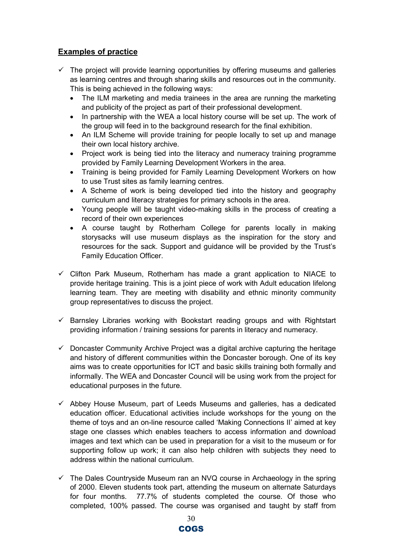- $\checkmark$  The project will provide learning opportunities by offering museums and galleries as learning centres and through sharing skills and resources out in the community. This is being achieved in the following ways:
	- The ILM marketing and media trainees in the area are running the marketing and publicity of the project as part of their professional development.
	- In partnership with the WEA a local history course will be set up. The work of the group will feed in to the background research for the final exhibition.
	- An ILM Scheme will provide training for people locally to set up and manage their own local history archive.
	- Project work is being tied into the literacy and numeracy training programme provided by Family Learning Development Workers in the area.
	- Training is being provided for Family Learning Development Workers on how to use Trust sites as family learning centres.
	- A Scheme of work is being developed tied into the history and geography curriculum and literacy strategies for primary schools in the area.
	- Young people will be taught video-making skills in the process of creating a record of their own experiences
	- A course taught by Rotherham College for parents locally in making storysacks will use museum displays as the inspiration for the story and resources for the sack. Support and guidance will be provided by the Trust's Family Education Officer.
- $\checkmark$  Clifton Park Museum, Rotherham has made a grant application to NIACE to provide heritage training. This is a joint piece of work with Adult education lifelong learning team. They are meeting with disability and ethnic minority community group representatives to discuss the project.
- $\checkmark$  Barnsley Libraries working with Bookstart reading groups and with Rightstart providing information / training sessions for parents in literacy and numeracy.
- $\checkmark$  Doncaster Community Archive Project was a digital archive capturing the heritage and history of different communities within the Doncaster borough. One of its key aims was to create opportunities for ICT and basic skills training both formally and informally. The WEA and Doncaster Council will be using work from the project for educational purposes in the future.
- $\checkmark$  Abbey House Museum, part of Leeds Museums and galleries, has a dedicated education officer. Educational activities include workshops for the young on the theme of toys and an on-line resource called 'Making Connections II' aimed at key stage one classes which enables teachers to access information and download images and text which can be used in preparation for a visit to the museum or for supporting follow up work; it can also help children with subjects they need to address within the national curriculum.
- $\checkmark$  The Dales Countryside Museum ran an NVQ course in Archaeology in the spring of 2000. Eleven students took part, attending the museum on alternate Saturdays for four months. 77.7% of students completed the course. Of those who completed, 100% passed. The course was organised and taught by staff from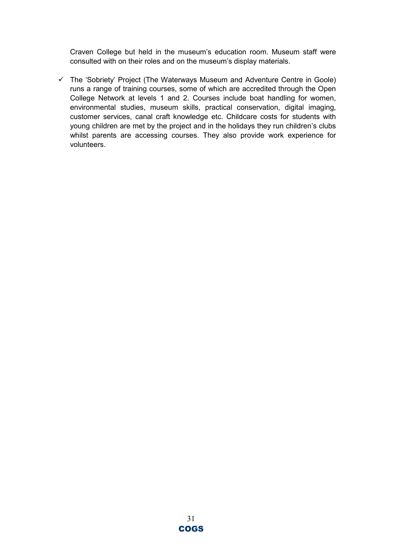Craven College but held in the museum's education room. Museum staff were consulted with on their roles and on the museum's display materials.

 $\checkmark$  The 'Sobriety' Project (The Waterways Museum and Adventure Centre in Goole) runs a range of training courses, some of which are accredited through the Open College Network at levels 1 and 2. Courses include boat handling for women, environmental studies, museum skills, practical conservation, digital imaging, customer services, canal craft knowledge etc. Childcare costs for students with young children are met by the project and in the holidays they run children's clubs whilst parents are accessing courses. They also provide work experience for volunteers.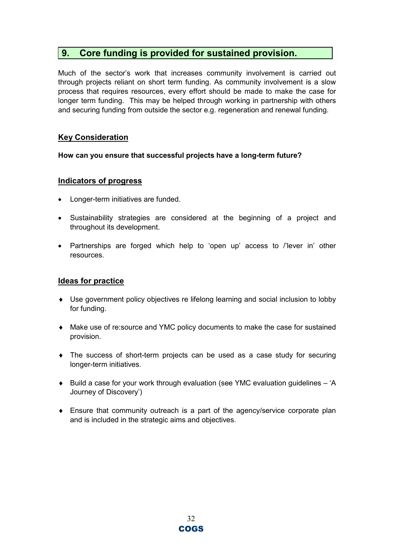### 9. Core funding is provided for sustained provision.

Much of the sector's work that increases community involvement is carried out through projects reliant on short term funding. As community involvement is a slow process that requires resources, every effort should be made to make the case for longer term funding. This may be helped through working in partnership with others and securing funding from outside the sector e.g. regeneration and renewal funding.

#### Key Consideration

#### How can you ensure that successful projects have a long-term future?

#### Indicators of progress

- Longer-term initiatives are funded.
- Sustainability strategies are considered at the beginning of a project and throughout its development.
- Partnerships are forged which help to 'open up' access to /'lever in' other resources.

- ♦ Use government policy objectives re lifelong learning and social inclusion to lobby for funding.
- ♦ Make use of re:source and YMC policy documents to make the case for sustained provision.
- ♦ The success of short-term projects can be used as a case study for securing longer-term initiatives.
- ◆ Build a case for your work through evaluation (see YMC evaluation quidelines 'A Journey of Discovery')
- ♦ Ensure that community outreach is a part of the agency/service corporate plan and is included in the strategic aims and objectives.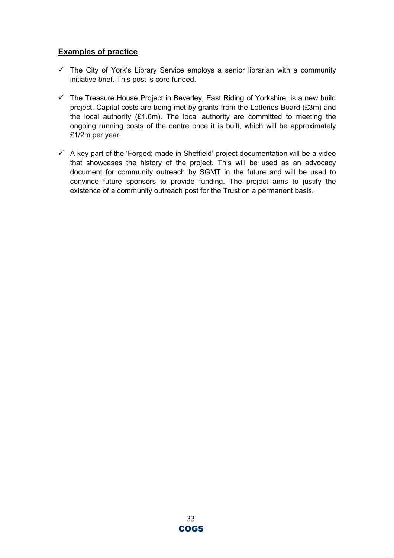- $\checkmark$  The City of York's Library Service employs a senior librarian with a community initiative brief. This post is core funded.
- $\checkmark$  The Treasure House Project in Beverley, East Riding of Yorkshire, is a new build project. Capital costs are being met by grants from the Lotteries Board (£3m) and the local authority (£1.6m). The local authority are committed to meeting the ongoing running costs of the centre once it is built, which will be approximately £1/2m per year.
- $\checkmark$  A key part of the 'Forged; made in Sheffield' project documentation will be a video that showcases the history of the project. This will be used as an advocacy document for community outreach by SGMT in the future and will be used to convince future sponsors to provide funding. The project aims to justify the existence of a community outreach post for the Trust on a permanent basis.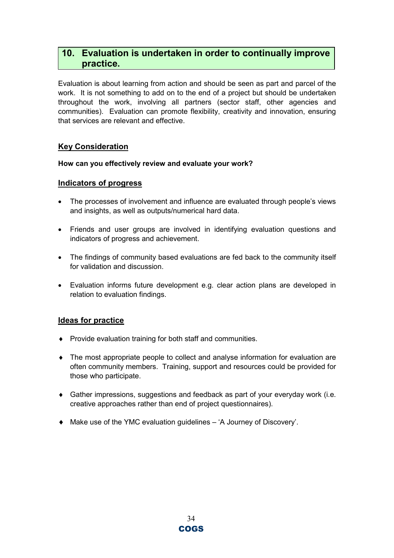## 10. Evaluation is undertaken in order to continually improve practice.

Evaluation is about learning from action and should be seen as part and parcel of the work. It is not something to add on to the end of a project but should be undertaken throughout the work, involving all partners (sector staff, other agencies and communities). Evaluation can promote flexibility, creativity and innovation, ensuring that services are relevant and effective.

#### Key Consideration

#### How can you effectively review and evaluate your work?

#### Indicators of progress

- The processes of involvement and influence are evaluated through people's views and insights, as well as outputs/numerical hard data.
- Friends and user groups are involved in identifying evaluation questions and indicators of progress and achievement.
- The findings of community based evaluations are fed back to the community itself for validation and discussion.
- Evaluation informs future development e.g. clear action plans are developed in relation to evaluation findings.

- ♦ Provide evaluation training for both staff and communities.
- ♦ The most appropriate people to collect and analyse information for evaluation are often community members. Training, support and resources could be provided for those who participate.
- ♦ Gather impressions, suggestions and feedback as part of your everyday work (i.e. creative approaches rather than end of project questionnaires).
- ♦ Make use of the YMC evaluation guidelines 'A Journey of Discovery'.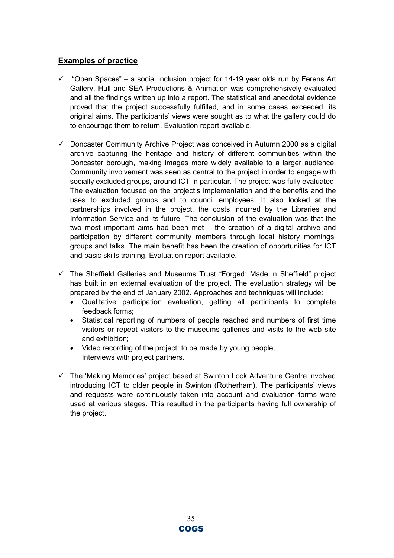- $\checkmark$  "Open Spaces" a social inclusion project for 14-19 year olds run by Ferens Art Gallery, Hull and SEA Productions & Animation was comprehensively evaluated and all the findings written up into a report. The statistical and anecdotal evidence proved that the project successfully fulfilled, and in some cases exceeded, its original aims. The participants' views were sought as to what the gallery could do to encourage them to return. Evaluation report available.
- $\checkmark$  Doncaster Community Archive Project was conceived in Autumn 2000 as a digital archive capturing the heritage and history of different communities within the Doncaster borough, making images more widely available to a larger audience. Community involvement was seen as central to the project in order to engage with socially excluded groups, around ICT in particular. The project was fully evaluated. The evaluation focused on the project's implementation and the benefits and the uses to excluded groups and to council employees. It also looked at the partnerships involved in the project, the costs incurred by the Libraries and Information Service and its future. The conclusion of the evaluation was that the two most important aims had been met – the creation of a digital archive and participation by different community members through local history mornings, groups and talks. The main benefit has been the creation of opportunities for ICT and basic skills training. Evaluation report available.
- $\checkmark$  The Sheffield Galleries and Museums Trust "Forged: Made in Sheffield" project has built in an external evaluation of the project. The evaluation strategy will be prepared by the end of January 2002. Approaches and techniques will include:
	- Qualitative participation evaluation, getting all participants to complete feedback forms;
	- Statistical reporting of numbers of people reached and numbers of first time visitors or repeat visitors to the museums galleries and visits to the web site and exhibition;
	- Video recording of the project, to be made by young people; Interviews with project partners.
- $\checkmark$  The 'Making Memories' project based at Swinton Lock Adventure Centre involved introducing ICT to older people in Swinton (Rotherham). The participants' views and requests were continuously taken into account and evaluation forms were used at various stages. This resulted in the participants having full ownership of the project.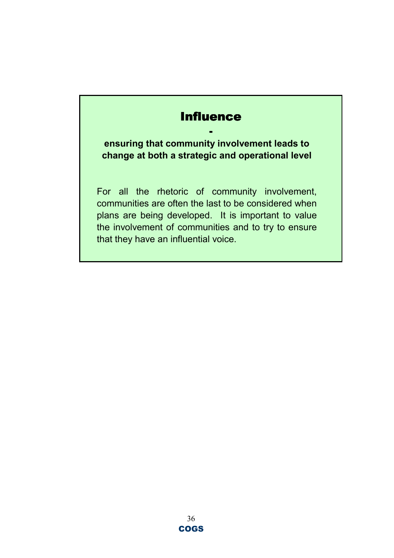## **Influence**

-

ensuring that community involvement leads to change at both a strategic and operational level

For all the rhetoric of community involvement, communities are often the last to be considered when plans are being developed. It is important to value the involvement of communities and to try to ensure that they have an influential voice.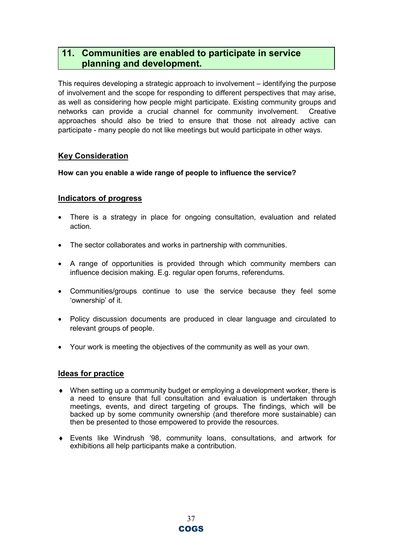## 11. Communities are enabled to participate in service planning and development.

This requires developing a strategic approach to involvement – identifying the purpose of involvement and the scope for responding to different perspectives that may arise, as well as considering how people might participate. Existing community groups and networks can provide a crucial channel for community involvement. Creative approaches should also be tried to ensure that those not already active can participate - many people do not like meetings but would participate in other ways.

#### Key Consideration

How can you enable a wide range of people to influence the service?

#### Indicators of progress

- There is a strategy in place for ongoing consultation, evaluation and related action.
- The sector collaborates and works in partnership with communities.
- A range of opportunities is provided through which community members can influence decision making. E.g. regular open forums, referendums.
- Communities/groups continue to use the service because they feel some 'ownership' of it.
- Policy discussion documents are produced in clear language and circulated to relevant groups of people.
- Your work is meeting the objectives of the community as well as your own.

- ♦ When setting up a community budget or employing a development worker, there is a need to ensure that full consultation and evaluation is undertaken through meetings, events, and direct targeting of groups. The findings, which will be backed up by some community ownership (and therefore more sustainable) can then be presented to those empowered to provide the resources.
- ♦ Events like Windrush '98, community loans, consultations, and artwork for exhibitions all help participants make a contribution.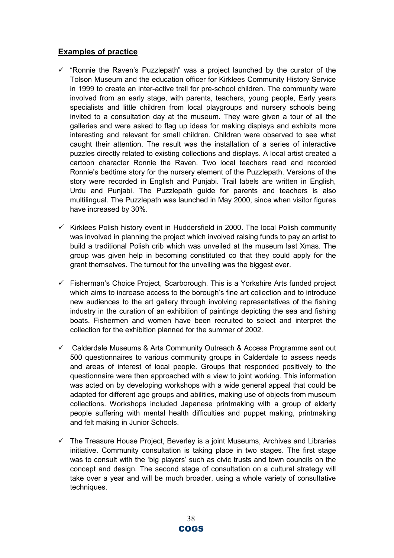- $\checkmark$  "Ronnie the Raven's Puzzlepath" was a project launched by the curator of the Tolson Museum and the education officer for Kirklees Community History Service in 1999 to create an inter-active trail for pre-school children. The community were involved from an early stage, with parents, teachers, young people, Early years specialists and little children from local playgroups and nursery schools being invited to a consultation day at the museum. They were given a tour of all the galleries and were asked to flag up ideas for making displays and exhibits more interesting and relevant for small children. Children were observed to see what caught their attention. The result was the installation of a series of interactive puzzles directly related to existing collections and displays. A local artist created a cartoon character Ronnie the Raven. Two local teachers read and recorded Ronnie's bedtime story for the nursery element of the Puzzlepath. Versions of the story were recorded in English and Punjabi. Trail labels are written in English, Urdu and Punjabi. The Puzzlepath guide for parents and teachers is also multilingual. The Puzzlepath was launched in May 2000, since when visitor figures have increased by 30%.
- $\checkmark$  Kirklees Polish history event in Huddersfield in 2000. The local Polish community was involved in planning the project which involved raising funds to pay an artist to build a traditional Polish crib which was unveiled at the museum last Xmas. The group was given help in becoming constituted co that they could apply for the grant themselves. The turnout for the unveiling was the biggest ever.
- $\checkmark$  Fisherman's Choice Project, Scarborough. This is a Yorkshire Arts funded project which aims to increase access to the borough's fine art collection and to introduce new audiences to the art gallery through involving representatives of the fishing industry in the curation of an exhibition of paintings depicting the sea and fishing boats. Fishermen and women have been recruited to select and interpret the collection for the exhibition planned for the summer of 2002.
- $\checkmark$  Calderdale Museums & Arts Community Outreach & Access Programme sent out 500 questionnaires to various community groups in Calderdale to assess needs and areas of interest of local people. Groups that responded positively to the questionnaire were then approached with a view to joint working. This information was acted on by developing workshops with a wide general appeal that could be adapted for different age groups and abilities, making use of objects from museum collections. Workshops included Japanese printmaking with a group of elderly people suffering with mental health difficulties and puppet making, printmaking and felt making in Junior Schools.
- $\checkmark$  The Treasure House Project, Beverley is a joint Museums, Archives and Libraries initiative. Community consultation is taking place in two stages. The first stage was to consult with the 'big players' such as civic trusts and town councils on the concept and design. The second stage of consultation on a cultural strategy will take over a year and will be much broader, using a whole variety of consultative techniques.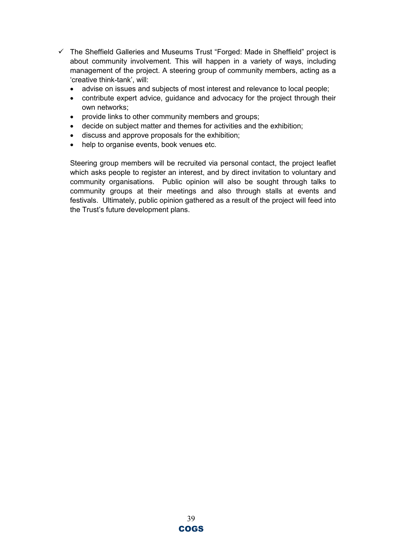- $\checkmark$  The Sheffield Galleries and Museums Trust "Forged: Made in Sheffield" project is about community involvement. This will happen in a variety of ways, including management of the project. A steering group of community members, acting as a 'creative think-tank', will:
	- advise on issues and subjects of most interest and relevance to local people;
	- contribute expert advice, guidance and advocacy for the project through their own networks;
	- provide links to other community members and groups;
	- decide on subject matter and themes for activities and the exhibition;
	- discuss and approve proposals for the exhibition;
	- help to organise events, book venues etc.

Steering group members will be recruited via personal contact, the project leaflet which asks people to register an interest, and by direct invitation to voluntary and community organisations. Public opinion will also be sought through talks to community groups at their meetings and also through stalls at events and festivals. Ultimately, public opinion gathered as a result of the project will feed into the Trust's future development plans.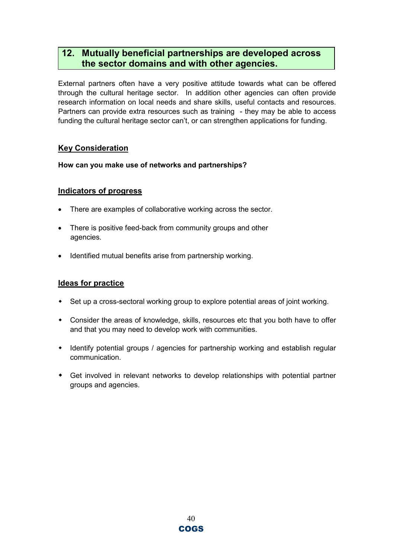## 12. Mutually beneficial partnerships are developed across the sector domains and with other agencies.

External partners often have a very positive attitude towards what can be offered through the cultural heritage sector. In addition other agencies can often provide research information on local needs and share skills, useful contacts and resources. Partners can provide extra resources such as training - they may be able to access funding the cultural heritage sector can't, or can strengthen applications for funding.

### Key Consideration

How can you make use of networks and partnerships?

#### Indicators of progress

- There are examples of collaborative working across the sector.
- There is positive feed-back from community groups and other agencies.
- Identified mutual benefits arise from partnership working.

- Set up a cross-sectoral working group to explore potential areas of joint working.
- Consider the areas of knowledge, skills, resources etc that you both have to offer and that you may need to develop work with communities.
- Identify potential groups / agencies for partnership working and establish regular communication.
- Get involved in relevant networks to develop relationships with potential partner groups and agencies.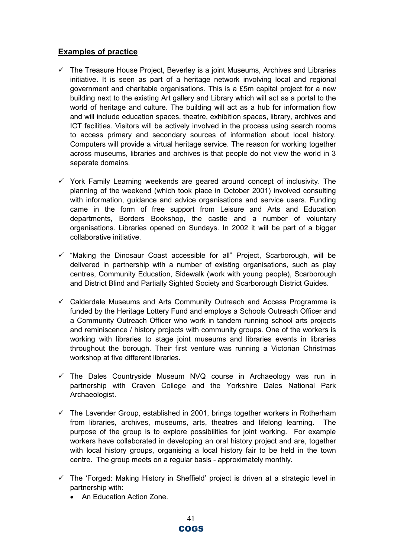- $\checkmark$  The Treasure House Project, Beverley is a joint Museums, Archives and Libraries initiative. It is seen as part of a heritage network involving local and regional government and charitable organisations. This is a £5m capital project for a new building next to the existing Art gallery and Library which will act as a portal to the world of heritage and culture. The building will act as a hub for information flow and will include education spaces, theatre, exhibition spaces, library, archives and ICT facilities. Visitors will be actively involved in the process using search rooms to access primary and secondary sources of information about local history. Computers will provide a virtual heritage service. The reason for working together across museums, libraries and archives is that people do not view the world in 3 separate domains.
- $\checkmark$  York Family Learning weekends are geared around concept of inclusivity. The planning of the weekend (which took place in October 2001) involved consulting with information, guidance and advice organisations and service users. Funding came in the form of free support from Leisure and Arts and Education departments, Borders Bookshop, the castle and a number of voluntary organisations. Libraries opened on Sundays. In 2002 it will be part of a bigger collaborative initiative.
- $\checkmark$  "Making the Dinosaur Coast accessible for all" Project, Scarborough, will be delivered in partnership with a number of existing organisations, such as play centres, Community Education, Sidewalk (work with young people), Scarborough and District Blind and Partially Sighted Society and Scarborough District Guides.
- $\checkmark$  Calderdale Museums and Arts Community Outreach and Access Programme is funded by the Heritage Lottery Fund and employs a Schools Outreach Officer and a Community Outreach Officer who work in tandem running school arts projects and reminiscence / history projects with community groups. One of the workers is working with libraries to stage joint museums and libraries events in libraries throughout the borough. Their first venture was running a Victorian Christmas workshop at five different libraries.
- $\checkmark$  The Dales Countryside Museum NVQ course in Archaeology was run in partnership with Craven College and the Yorkshire Dales National Park Archaeologist.
- $\checkmark$  The Lavender Group, established in 2001, brings together workers in Rotherham from libraries, archives, museums, arts, theatres and lifelong learning. The purpose of the group is to explore possibilities for joint working. For example workers have collaborated in developing an oral history project and are, together with local history groups, organising a local history fair to be held in the town centre. The group meets on a regular basis - approximately monthly.
- $\checkmark$  The 'Forged: Making History in Sheffield' project is driven at a strategic level in partnership with:
	- An Education Action Zone.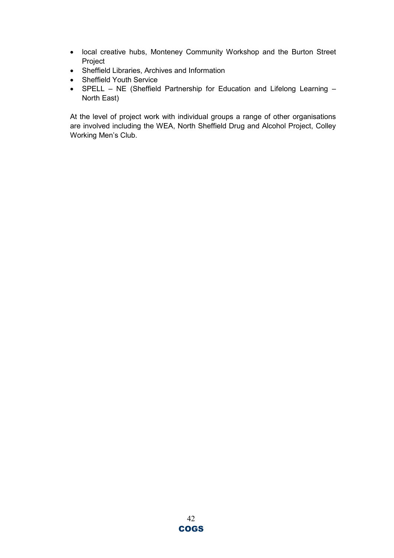- local creative hubs, Monteney Community Workshop and the Burton Street Project
- Sheffield Libraries, Archives and Information
- Sheffield Youth Service
- SPELL NE (Sheffield Partnership for Education and Lifelong Learning North East)

At the level of project work with individual groups a range of other organisations are involved including the WEA, North Sheffield Drug and Alcohol Project, Colley Working Men's Club.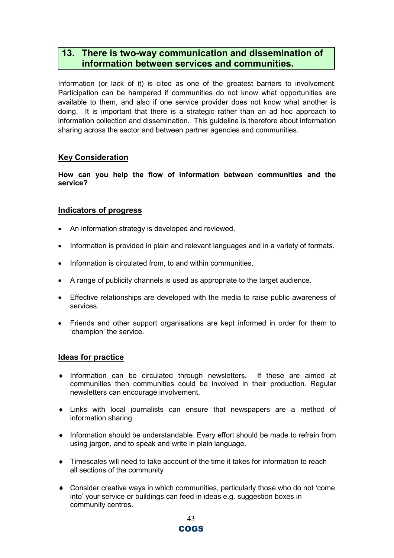## 13. There is two-way communication and dissemination of information between services and communities.

Information (or lack of it) is cited as one of the greatest barriers to involvement. Participation can be hampered if communities do not know what opportunities are available to them, and also if one service provider does not know what another is doing. It is important that there is a strategic rather than an ad hoc approach to information collection and dissemination. This guideline is therefore about information sharing across the sector and between partner agencies and communities.

#### Key Consideration

How can you help the flow of information between communities and the service?

#### Indicators of progress

- An information strategy is developed and reviewed.
- Information is provided in plain and relevant languages and in a variety of formats.
- Information is circulated from, to and within communities.
- A range of publicity channels is used as appropriate to the target audience.
- Effective relationships are developed with the media to raise public awareness of services.
- Friends and other support organisations are kept informed in order for them to 'champion' the service.

- ♦ Information can be circulated through newsletters. If these are aimed at communities then communities could be involved in their production. Regular newsletters can encourage involvement.
- ♦ Links with local journalists can ensure that newspapers are a method of information sharing.
- ♦ Information should be understandable. Every effort should be made to refrain from using jargon, and to speak and write in plain language.
- ♦ Timescales will need to take account of the time it takes for information to reach all sections of the community
- ♦ Consider creative ways in which communities, particularly those who do not 'come into' your service or buildings can feed in ideas e.g. suggestion boxes in community centres.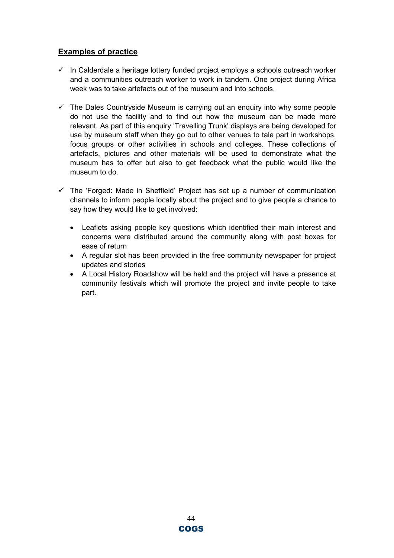- $\checkmark$  In Calderdale a heritage lottery funded project employs a schools outreach worker and a communities outreach worker to work in tandem. One project during Africa week was to take artefacts out of the museum and into schools.
- $\checkmark$  The Dales Countryside Museum is carrying out an enguiry into why some people do not use the facility and to find out how the museum can be made more relevant. As part of this enquiry 'Travelling Trunk' displays are being developed for use by museum staff when they go out to other venues to tale part in workshops, focus groups or other activities in schools and colleges. These collections of artefacts, pictures and other materials will be used to demonstrate what the museum has to offer but also to get feedback what the public would like the museum to do.
- $\checkmark$  The 'Forged: Made in Sheffield' Project has set up a number of communication channels to inform people locally about the project and to give people a chance to say how they would like to get involved:
	- Leaflets asking people key questions which identified their main interest and concerns were distributed around the community along with post boxes for ease of return
	- A regular slot has been provided in the free community newspaper for project updates and stories
	- A Local History Roadshow will be held and the project will have a presence at community festivals which will promote the project and invite people to take part.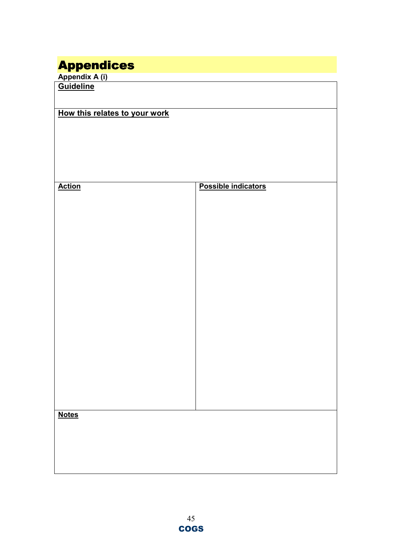## Appendices

Appendix A (i) Guideline

| How this relates to your work |                     |  |  |  |  |  |  |
|-------------------------------|---------------------|--|--|--|--|--|--|
|                               |                     |  |  |  |  |  |  |
|                               |                     |  |  |  |  |  |  |
|                               |                     |  |  |  |  |  |  |
|                               |                     |  |  |  |  |  |  |
|                               |                     |  |  |  |  |  |  |
|                               |                     |  |  |  |  |  |  |
| <b>Action</b>                 | Possible indicators |  |  |  |  |  |  |
|                               |                     |  |  |  |  |  |  |
|                               |                     |  |  |  |  |  |  |
|                               |                     |  |  |  |  |  |  |
|                               |                     |  |  |  |  |  |  |
|                               |                     |  |  |  |  |  |  |
|                               |                     |  |  |  |  |  |  |
|                               |                     |  |  |  |  |  |  |
|                               |                     |  |  |  |  |  |  |
|                               |                     |  |  |  |  |  |  |
|                               |                     |  |  |  |  |  |  |
|                               |                     |  |  |  |  |  |  |
|                               |                     |  |  |  |  |  |  |
|                               |                     |  |  |  |  |  |  |
|                               |                     |  |  |  |  |  |  |
|                               |                     |  |  |  |  |  |  |
|                               |                     |  |  |  |  |  |  |
|                               |                     |  |  |  |  |  |  |
|                               |                     |  |  |  |  |  |  |
|                               |                     |  |  |  |  |  |  |
|                               |                     |  |  |  |  |  |  |
|                               |                     |  |  |  |  |  |  |
| <b>Notes</b>                  |                     |  |  |  |  |  |  |
|                               |                     |  |  |  |  |  |  |
|                               |                     |  |  |  |  |  |  |
|                               |                     |  |  |  |  |  |  |
|                               |                     |  |  |  |  |  |  |
|                               |                     |  |  |  |  |  |  |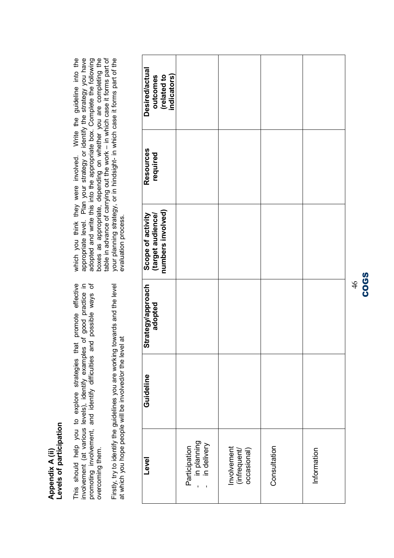# Levels of participation Levels of participation Appendix A (ii) Appendix A (ii)

This should help you to explore strategies that promote effective<br>involvement (at various levels), identify examples of good practice in<br>promoting involvement, and identify difficulties and possible ways of This should help you to explore strategies that promote effective involvement (at various levels), identify examples of good practice in promoting involvement, and identify difficulties and possible ways of overcoming them. overcoming them.

Firstly, try to identify the guidelines you are working towards and the level Firstly, try to identify the guidelines you are working towards and the level at which you hope people will be involved/or the level at at which you hope people will be involved/or the level at

which you think they were involved. Write the guideline into the appropriate level. Plan your strategy or identify the strategy you have adopted and write this into the appropriate box. Complete the following boxes as appropriate, depending on whether you are completing the table in advance of carrying out the work – in which case it forms part of your planning strategy, or in hindsight- in which case it forms part of boxes as appropriate, depending on whether you are completing the table in advance of carrying out the work – in which case it forms part of your planning strategy, or in hindsight- in which case it forms part of the appropriate level. Plan your strategy or identify the strategy you have adopted and write this into the appropriate box. Complete the following which you think they were involved. Write the guideline into the evaluation process. evaluation process.

| Desired/actual<br>outcomes<br>(related to<br>indicators)    |                                                 |                                            |              |             |
|-------------------------------------------------------------|-------------------------------------------------|--------------------------------------------|--------------|-------------|
| Resources<br>required                                       |                                                 |                                            |              |             |
| Scope of activity<br>(target audience/<br>numbers involved) |                                                 |                                            |              |             |
| Strategy/approach<br>adopted                                |                                                 |                                            |              |             |
| Guideline                                                   |                                                 |                                            |              |             |
| Level                                                       | Participation<br>- in planning<br>- in delivery | Involvement<br>(infrequent/<br>occasional) | Consultation | Information |

## 46 COGS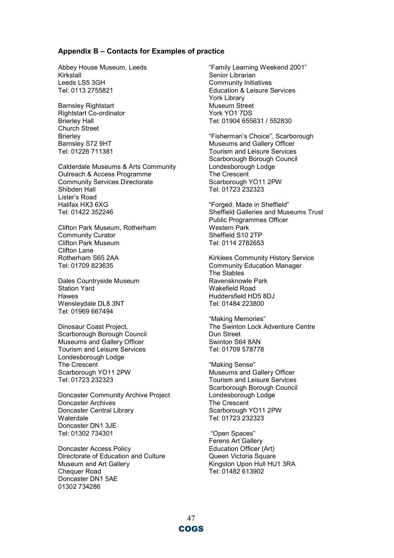#### Appendix B – Contacts for Examples of practice

Abbey House Museum, Leeds Kirkstall Leeds LS5 3GH Tel: 0113 2755821

Barnsley Rightstart Rightstart Co-ordinator Brierley Hall Church Street **Brierley** Barnsley S72 9HT Tel: 01226 711381

Calderdale Museums & Arts Community Outreach & Access Programme Community Services Directorate Shibden Hall Lister's Road Halifax HX3 6XG Tel: 01422 352246

Clifton Park Museum, Rotherham Community Curator Clifton Park Museum Clifton Lane Rotherham S65 2AA Tel: 01709 823635

Dales Countryside Museum Station Yard Hawes Wensleydale DL8 3NT Tel: 01969 667494

Dinosaur Coast Project, Scarborough Borough Council Museums and Gallery Officer Tourism and Leisure Services Londesborough Lodge The Crescent Scarborough YO11 2PW Tel: 01723 232323

Doncaster Community Archive Project Doncaster Archives Doncaster Central Library Waterdale Doncaster DN1 3JE Tel: 01302 734301

Doncaster Access Policy Directorate of Education and Culture Museum and Art Gallery Chequer Road Doncaster DN1 5AE 01302 734286

"Family Learning Weekend 2001" Senior Librarian Community Initiatives Education & Leisure Services York Library Museum Street York YO1 7DS Tel: 01904 655631 / 552830

"Fisherman's Choice", Scarborough Museums and Gallery Officer Tourism and Leisure Services Scarborough Borough Council Londesborough Lodge The Crescent Scarborough YO11 2PW Tel: 01723 232323

"Forged: Made in Sheffield" Sheffield Galleries and Museums Trust Public Programmes Officer Western Park Sheffield S10 2TP Tel: 0114 2782653

Kirklees Community History Service Community Education Manager The Stables Ravensknowle Park Wakefield Road Huddersfield HD5 8DJ Tel: 01484 223800

"Making Memories" The Swinton Lock Adventure Centre Dun Street Swinton S64 8AN Tel: 01709 578778

"Making Sense" Museums and Gallery Officer Tourism and Leisure Services Scarborough Borough Council Londesborough Lodge The Crescent Scarborough YO11 2PW Tel: 01723 232323

 "Open Spaces" Ferens Art Gallery Education Officer (Art) Queen Victoria Square Kingston Upon Hull HU1 3RA Tel: 01482 613902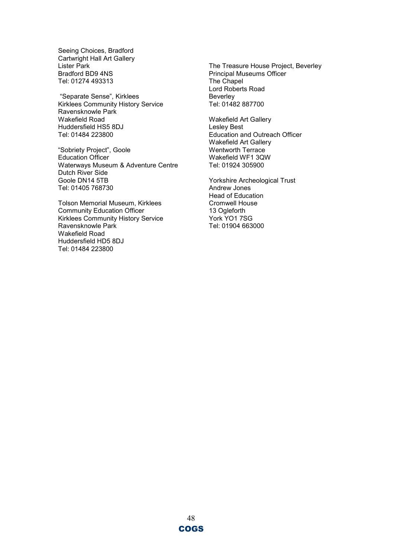Seeing Choices, Bradford Cartwright Hall Art Gallery Lister Park Bradford BD9 4NS Tel: 01274 493313

 "Separate Sense", Kirklees Kirklees Community History Service Ravensknowle Park Wakefield Road Huddersfield HS5 8DJ Tel: 01484 223800

"Sobriety Project", Goole Education Officer Waterways Museum & Adventure Centre Dutch River Side Goole DN14 5TB Tel: 01405 768730

Tolson Memorial Museum, Kirklees Community Education Officer Kirklees Community History Service Ravensknowle Park Wakefield Road Huddersfield HD5 8DJ Tel: 01484 223800

The Treasure House Project, Beverley Principal Museums Officer The Chapel Lord Roberts Road Beverley Tel: 01482 887700

Wakefield Art Gallery Lesley Best Education and Outreach Officer Wakefield Art Gallery Wentworth Terrace Wakefield WF1 3QW Tel: 01924 305900

Yorkshire Archeological Trust Andrew Jones Head of Education Cromwell House 13 Ogleforth York YO1 7SG Tel: 01904 663000

48 COGS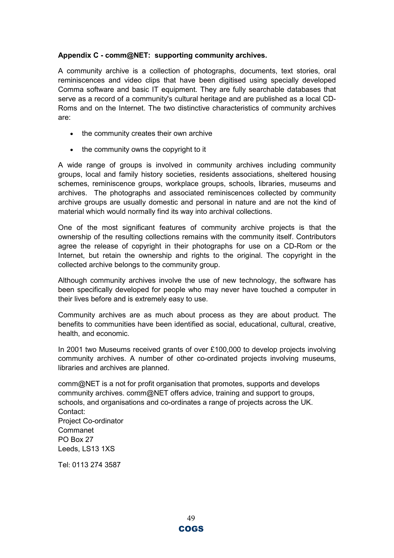#### Appendix C - comm@NET: supporting community archives.

A community archive is a collection of photographs, documents, text stories, oral reminiscences and video clips that have been digitised using specially developed Comma software and basic IT equipment. They are fully searchable databases that serve as a record of a community's cultural heritage and are published as a local CD-Roms and on the Internet. The two distinctive characteristics of community archives are:

- the community creates their own archive
- the community owns the copyright to it

A wide range of groups is involved in community archives including community groups, local and family history societies, residents associations, sheltered housing schemes, reminiscence groups, workplace groups, schools, libraries, museums and archives. The photographs and associated reminiscences collected by community archive groups are usually domestic and personal in nature and are not the kind of material which would normally find its way into archival collections.

One of the most significant features of community archive projects is that the ownership of the resulting collections remains with the community itself. Contributors agree the release of copyright in their photographs for use on a CD-Rom or the Internet, but retain the ownership and rights to the original. The copyright in the collected archive belongs to the community group.

Although community archives involve the use of new technology, the software has been specifically developed for people who may never have touched a computer in their lives before and is extremely easy to use.

Community archives are as much about process as they are about product. The benefits to communities have been identified as social, educational, cultural, creative, health, and economic.

In 2001 two Museums received grants of over £100,000 to develop projects involving community archives. A number of other co-ordinated projects involving museums, libraries and archives are planned.

comm@NET is a not for profit organisation that promotes, supports and develops community archives. comm@NET offers advice, training and support to groups, schools, and organisations and co-ordinates a range of projects across the UK. Contact: Project Co-ordinator Commanet PO Box 27 Leeds, LS13 1XS

Tel: 0113 274 3587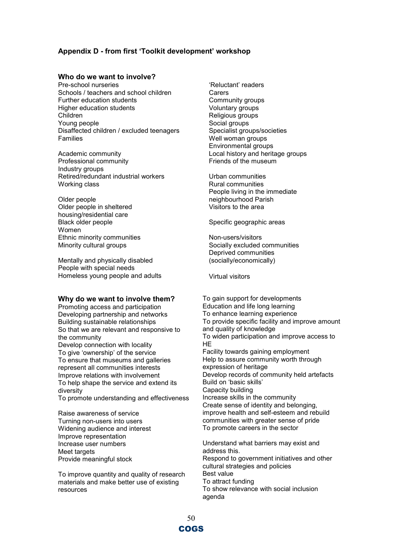#### Appendix D - from first 'Toolkit development' workshop

#### Who do we want to involve?

Pre-school nurseries Schools / teachers and school children Further education students Higher education students Children Young people Disaffected children / excluded teenagers Families

Academic community Professional community Industry groups Retired/redundant industrial workers Working class

Older people Older people in sheltered housing/residential care Black older people Women Ethnic minority communities Minority cultural groups

Mentally and physically disabled People with special needs Homeless young people and adults

#### Why do we want to involve them?

Promoting access and participation Developing partnership and networks Building sustainable relationships So that we are relevant and responsive to the community Develop connection with locality To give 'ownership' of the service To ensure that museums and galleries represent all communities interests Improve relations with involvement To help shape the service and extend its diversity To promote understanding and effectiveness

Raise awareness of service Turning non-users into users Widening audience and interest Improve representation Increase user numbers Meet targets Provide meaningful stock

To improve quantity and quality of research materials and make better use of existing resources

'Reluctant' readers **Carers** Community groups Voluntary groups Religious groups Social groups Specialist groups/societies Well woman groups Environmental groups Local history and heritage groups Friends of the museum

Urban communities Rural communities People living in the immediate neighbourhood Parish Visitors to the area

Specific geographic areas

Non-users/visitors Socially excluded communities Deprived communities (socially/economically)

Virtual visitors

To gain support for developments Education and life long learning To enhance learning experience To provide specific facility and improve amount and quality of knowledge To widen participation and improve access to HE Facility towards gaining employment Help to assure community worth through expression of heritage Develop records of community held artefacts Build on 'basic skills' Capacity building Increase skills in the community Create sense of identity and belonging, improve health and self-esteem and rebuild communities with greater sense of pride To promote careers in the sector Understand what barriers may exist and

address this. Respond to government initiatives and other cultural strategies and policies Best value To attract funding To show relevance with social inclusion agenda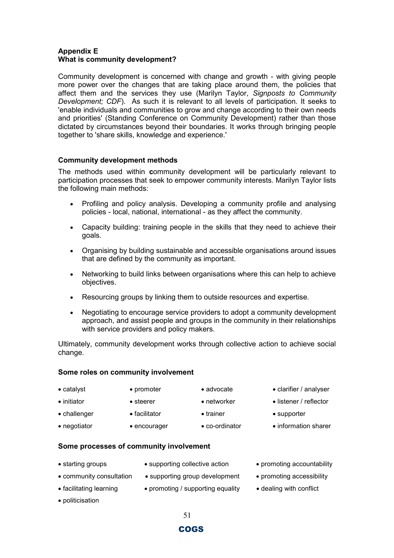#### Appendix E What is community development?

Community development is concerned with change and growth - with giving people more power over the changes that are taking place around them, the policies that affect them and the services they use (Marilyn Taylor, Signposts to Community Development; CDF). As such it is relevant to all levels of participation. It seeks to 'enable individuals and communities to grow and change according to their own needs and priorities' (Standing Conference on Community Development) rather than those dictated by circumstances beyond their boundaries. It works through bringing people together to 'share skills, knowledge and experience.'

#### Community development methods

The methods used within community development will be particularly relevant to participation processes that seek to empower community interests. Marilyn Taylor lists the following main methods:

- Profiling and policy analysis. Developing a community profile and analysing policies - local, national, international - as they affect the community.
- Capacity building: training people in the skills that they need to achieve their goals.
- Organising by building sustainable and accessible organisations around issues that are defined by the community as important.
- Networking to build links between organisations where this can help to achieve objectives.
- Resourcing groups by linking them to outside resources and expertise.
- Negotiating to encourage service providers to adopt a community development approach, and assist people and groups in the community in their relationships with service providers and policy makers.

Ultimately, community development works through collective action to achieve social change.

#### Some roles on community involvement

- 
- 
- challenger facilitator trainer supporter
	-
- 
- 
- catalyst promoter advocate clarifier / analyser
- initiator steerer  **networker** listener / reflector
	-
- negotiator encourager co-ordinator information sharer

#### Some processes of community involvement

- 
- starting groups supporting collective action promoting accountability
- 
- facilitating learning promoting / supporting equality dealing with conflict
- 
- community consultation supporting group development promoting accessibility
	-

• politicisation

51

#### COGS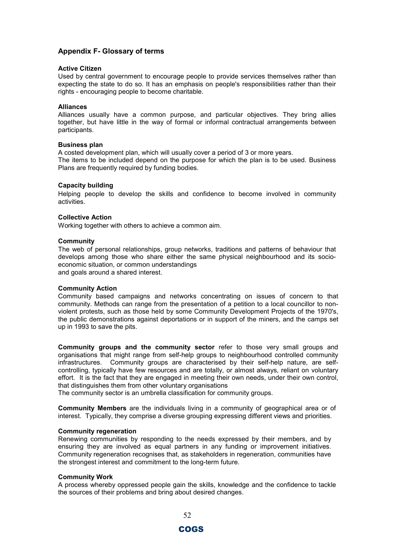#### Appendix F- Glossary of terms

#### Active Citizen

Used by central government to encourage people to provide services themselves rather than expecting the state to do so. It has an emphasis on people's responsibilities rather than their rights - encouraging people to become charitable.

#### Alliances

Alliances usually have a common purpose, and particular objectives. They bring allies together, but have little in the way of formal or informal contractual arrangements between participants.

#### Business plan

A costed development plan, which will usually cover a period of 3 or more years. The items to be included depend on the purpose for which the plan is to be used. Business Plans are frequently required by funding bodies.

#### Capacity building

Helping people to develop the skills and confidence to become involved in community activities.

#### Collective Action

Working together with others to achieve a common aim.

#### **Community**

The web of personal relationships, group networks, traditions and patterns of behaviour that develops among those who share either the same physical neighbourhood and its socioeconomic situation, or common understandings and goals around a shared interest.

#### Community Action

Community based campaigns and networks concentrating on issues of concern to that community. Methods can range from the presentation of a petition to a local councillor to nonviolent protests, such as those held by some Community Development Projects of the 1970's, the public demonstrations against deportations or in support of the miners, and the camps set up in 1993 to save the pits.

Community groups and the community sector refer to those very small groups and organisations that might range from self-help groups to neighbourhood controlled community infrastructures. Community groups are characterised by their self-help nature, are selfcontrolling, typically have few resources and are totally, or almost always, reliant on voluntary effort. It is the fact that they are engaged in meeting their own needs, under their own control, that distinguishes them from other voluntary organisations

The community sector is an umbrella classification for community groups.

Community Members are the individuals living in a community of geographical area or of interest. Typically, they comprise a diverse grouping expressing different views and priorities.

#### Community regeneration

Renewing communities by responding to the needs expressed by their members, and by ensuring they are involved as equal partners in any funding or improvement initiatives. Community regeneration recognises that, as stakeholders in regeneration, communities have the strongest interest and commitment to the long-term future.

#### Community Work

A process whereby oppressed people gain the skills, knowledge and the confidence to tackle the sources of their problems and bring about desired changes.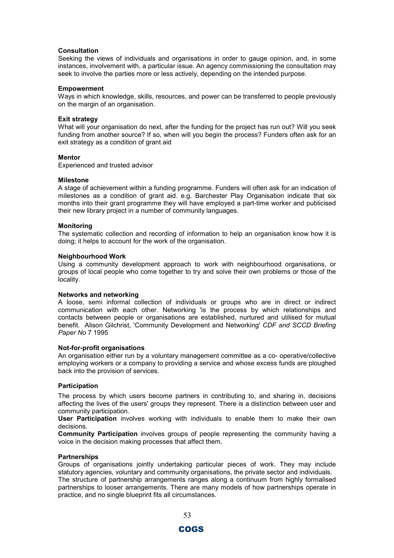#### **Consultation**

Seeking the views of individuals and organisations in order to gauge opinion, and, in some instances, involvement with, a particular issue. An agency commissioning the consultation may seek to involve the parties more or less actively, depending on the intended purpose.

#### Empowerment

Ways in which knowledge, skills, resources, and power can be transferred to people previously on the margin of an organisation.

#### Exit strategy

What will your organisation do next, after the funding for the project has run out? Will you seek funding from another source? If so, when will you begin the process? Funders often ask for an exit strategy as a condition of grant aid

#### Mentor

Experienced and trusted advisor

#### Milestone

A stage of achievement within a funding programme. Funders will often ask for an indication of milestones as a condition of grant aid. e.g. Barchester Play Organisation indicate that six months into their grant programme they will have employed a part-time worker and publicised their new library project in a number of community languages.

#### Monitoring

The systematic collection and recording of information to help an organisation know how it is doing; it helps to account for the work of the organisation.

#### Neighbourhood Work

Using a community development approach to work with neighbourhood organisations, or groups of local people who come together to try and solve their own problems or those of the locality.

#### Networks and networking

A loose, semi informal collection of individuals or groups who are in direct or indirect communication with each other. Networking 'is the process by which relationships and contacts between people or organisations are established, nurtured and utilised for mutual benefit. Alison Gilchrist, 'Community Development and Networking' CDF and SCCD Briefing Paper No 7 1995

#### Not-for-profit organisations

An organisation either run by a voluntary management committee as a co- operative/collective employing workers or a company to providing a service and whose excess funds are ploughed back into the provision of services.

#### Participation

The process by which users become partners in contributing to, and sharing in, decisions affecting the lives of the users' groups they represent. There is a distinction between user and community participation.

User Participation involves working with individuals to enable them to make their own decisions.

Community Participation involves groups of people representing the community having a voice in the decision making processes that affect them.

#### **Partnerships**

Groups of organisations jointly undertaking particular pieces of work. They may include statutory agencies, voluntary and community organisations, the private sector and individuals. The structure of partnership arrangements ranges along a continuum from highly formalised partnerships to looser arrangements. There are many models of how partnerships operate in practice, and no single blueprint fits all circumstances.